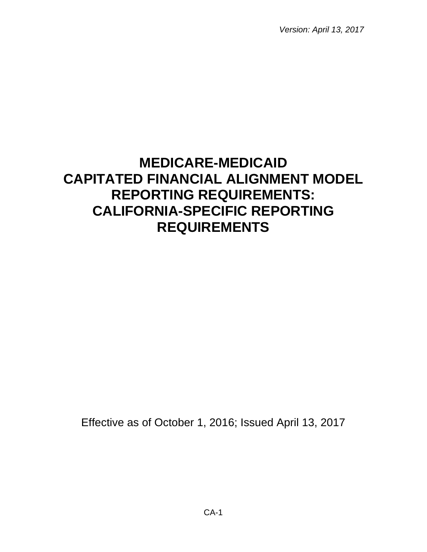*Version: April 13, 2017*

# **MEDICARE-MEDICAID CAPITATED FINANCIAL ALIGNMENT MODEL REPORTING REQUIREMENTS: CALIFORNIA-SPECIFIC REPORTING REQUIREMENTS**

Effective as of October 1, 2016; Issued April 13, 2017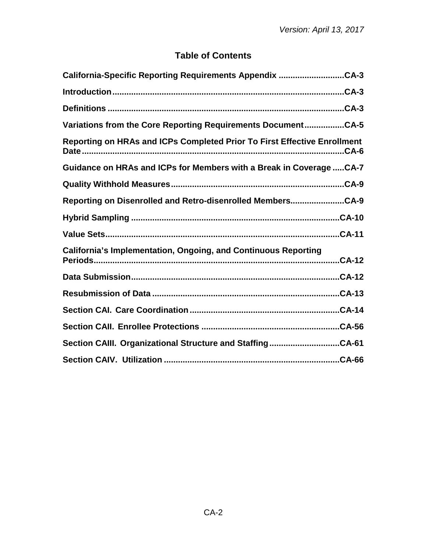# **Table of Contents**

| California-Specific Reporting Requirements Appendix CA-3                              |
|---------------------------------------------------------------------------------------|
|                                                                                       |
| Definitions ……………………………………………………………………………………………CA-3                                   |
| Variations from the Core Reporting Requirements DocumentCA-5                          |
| Reporting on HRAs and ICPs Completed Prior To First Effective Enrollment              |
| Guidance on HRAs and ICPs for Members with a Break in Coverage  CA-7                  |
|                                                                                       |
| Reporting on Disenrolled and Retro-disenrolled MembersCA-9                            |
|                                                                                       |
| $CA-11$                                                                               |
| <b>California's Implementation, Ongoing, and Continuous Reporting</b><br><b>CA-12</b> |
|                                                                                       |
|                                                                                       |
|                                                                                       |
|                                                                                       |
| Section CAIII. Organizational Structure and StaffingCA-61                             |
|                                                                                       |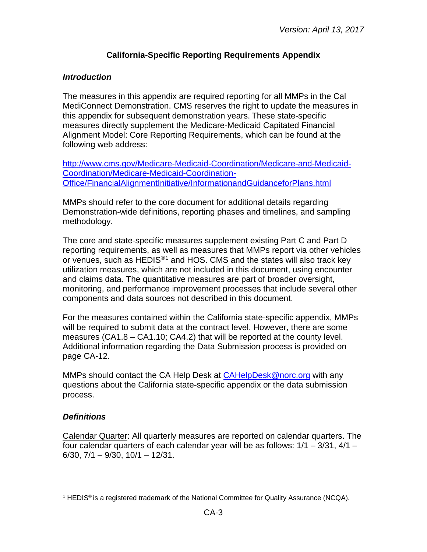## **California-Specific Reporting Requirements Appendix**

#### <span id="page-2-1"></span><span id="page-2-0"></span>*Introduction*

The measures in this appendix are required reporting for all MMPs in the Cal MediConnect Demonstration. CMS reserves the right to update the measures in this appendix for subsequent demonstration years. These state-specific measures directly supplement the Medicare-Medicaid Capitated Financial Alignment Model: Core Reporting Requirements, which can be found at the following web address:

[http://www.cms.gov/Medicare-Medicaid-Coordination/Medicare-and-Medicaid-](http://www.cms.gov/Medicare-Medicaid-Coordination/Medicare-and-Medicaid-Coordination/Medicare-Medicaid-Coordination-Office/FinancialAlignmentInitiative/InformationandGuidanceforPlans.html)[Coordination/Medicare-Medicaid-Coordination-](http://www.cms.gov/Medicare-Medicaid-Coordination/Medicare-and-Medicaid-Coordination/Medicare-Medicaid-Coordination-Office/FinancialAlignmentInitiative/InformationandGuidanceforPlans.html)[Office/FinancialAlignmentInitiative/InformationandGuidanceforPlans.html](http://www.cms.gov/Medicare-Medicaid-Coordination/Medicare-and-Medicaid-Coordination/Medicare-Medicaid-Coordination-Office/FinancialAlignmentInitiative/InformationandGuidanceforPlans.html)

MMPs should refer to the core document for additional details regarding Demonstration-wide definitions, reporting phases and timelines, and sampling methodology.

The core and state-specific measures supplement existing Part C and Part D reporting requirements, as well as measures that MMPs report via other vehicles or venues, such as HEDIS®[1](#page-2-3) and HOS. CMS and the states will also track key utilization measures, which are not included in this document, using encounter and claims data. The quantitative measures are part of broader oversight, monitoring, and performance improvement processes that include several other components and data sources not described in this document.

For the measures contained within the California state-specific appendix, MMPs will be required to submit data at the contract level. However, there are some measures (CA1.8 – CA1.10; CA4.2) that will be reported at the county level. Additional information regarding the Data Submission process is provided on page CA-12.

MMPs should contact the CA Help Desk at [CAHelpDesk@norc.org](mailto:CAHelpDesk@norc.org) with any questions about the California state-specific appendix or the data submission process.

#### <span id="page-2-2"></span>*Definitions*

Calendar Quarter: All quarterly measures are reported on calendar quarters. The four calendar quarters of each calendar year will be as follows:  $1/1 - 3/31$ ,  $4/1 -$ 6/30, 7/1 – 9/30, 10/1 – 12/31.

<span id="page-2-3"></span><sup>&</sup>lt;sup>1</sup> HEDIS<sup>®</sup> is a registered trademark of the National Committee for Quality Assurance (NCQA).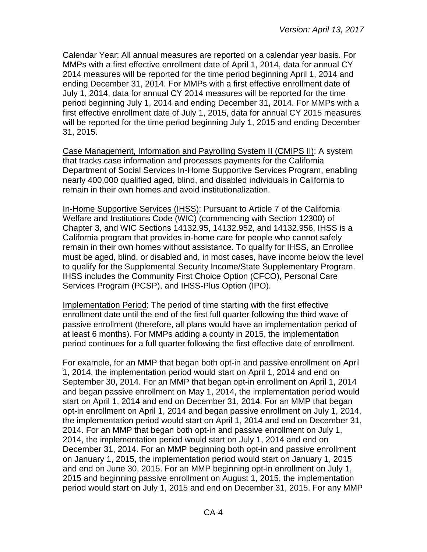Calendar Year: All annual measures are reported on a calendar year basis. For MMPs with a first effective enrollment date of April 1, 2014, data for annual CY 2014 measures will be reported for the time period beginning April 1, 2014 and ending December 31, 2014. For MMPs with a first effective enrollment date of July 1, 2014, data for annual CY 2014 measures will be reported for the time period beginning July 1, 2014 and ending December 31, 2014. For MMPs with a first effective enrollment date of July 1, 2015, data for annual CY 2015 measures will be reported for the time period beginning July 1, 2015 and ending December 31, 2015.

Case Management, Information and Payrolling System II (CMIPS II): A system that tracks case information and processes payments for the California Department of Social Services In-Home Supportive Services Program, enabling nearly 400,000 qualified aged, blind, and disabled individuals in California to remain in their own homes and avoid institutionalization.

In-Home Supportive Services (IHSS): Pursuant to Article 7 of the California Welfare and Institutions Code (WIC) (commencing with Section 12300) of Chapter 3, and WIC Sections 14132.95, 14132.952, and 14132.956, IHSS is a California program that provides in-home care for people who cannot safely remain in their own homes without assistance. To qualify for IHSS, an Enrollee must be aged, blind, or disabled and, in most cases, have income below the level to qualify for the Supplemental Security Income/State Supplementary Program. IHSS includes the Community First Choice Option (CFCO), Personal Care Services Program (PCSP), and IHSS-Plus Option (IPO).

Implementation Period: The period of time starting with the first effective enrollment date until the end of the first full quarter following the third wave of passive enrollment (therefore, all plans would have an implementation period of at least 6 months). For MMPs adding a county in 2015, the implementation period continues for a full quarter following the first effective date of enrollment.

For example, for an MMP that began both opt-in and passive enrollment on April 1, 2014, the implementation period would start on April 1, 2014 and end on September 30, 2014. For an MMP that began opt-in enrollment on April 1, 2014 and began passive enrollment on May 1, 2014, the implementation period would start on April 1, 2014 and end on December 31, 2014. For an MMP that began opt-in enrollment on April 1, 2014 and began passive enrollment on July 1, 2014, the implementation period would start on April 1, 2014 and end on December 31, 2014. For an MMP that began both opt-in and passive enrollment on July 1, 2014, the implementation period would start on July 1, 2014 and end on December 31, 2014. For an MMP beginning both opt-in and passive enrollment on January 1, 2015, the implementation period would start on January 1, 2015 and end on June 30, 2015. For an MMP beginning opt-in enrollment on July 1, 2015 and beginning passive enrollment on August 1, 2015, the implementation period would start on July 1, 2015 and end on December 31, 2015. For any MMP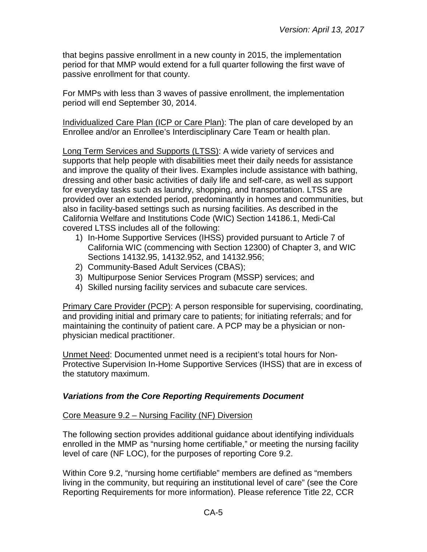that begins passive enrollment in a new county in 2015, the implementation period for that MMP would extend for a full quarter following the first wave of passive enrollment for that county.

For MMPs with less than 3 waves of passive enrollment, the implementation period will end September 30, 2014.

Individualized Care Plan (ICP or Care Plan): The plan of care developed by an Enrollee and/or an Enrollee's Interdisciplinary Care Team or health plan.

Long Term Services and Supports (LTSS): A wide variety of services and supports that help people with disabilities meet their daily needs for assistance and improve the quality of their lives. Examples include assistance with bathing, dressing and other basic activities of daily life and self-care, as well as support for everyday tasks such as laundry, shopping, and transportation. LTSS are provided over an extended period, predominantly in homes and communities, but also in facility-based settings such as nursing facilities. As described in the California Welfare and Institutions Code (WIC) Section 14186.1, Medi-Cal covered LTSS includes all of the following:

- 1) In-Home Supportive Services (IHSS) provided pursuant to Article 7 of California WIC (commencing with Section 12300) of Chapter 3, and WIC Sections 14132.95, 14132.952, and 14132.956;
- 2) Community-Based Adult Services (CBAS);
- 3) Multipurpose Senior Services Program (MSSP) services; and
- 4) Skilled nursing facility services and subacute care services.

Primary Care Provider (PCP): A person responsible for supervising, coordinating, and providing initial and primary care to patients; for initiating referrals; and for maintaining the continuity of patient care. A PCP may be a physician or nonphysician medical practitioner.

Unmet Need: Documented unmet need is a recipient's total hours for Non-Protective Supervision In-Home Supportive Services (IHSS) that are in excess of the statutory maximum.

## <span id="page-4-0"></span>*Variations from the Core Reporting Requirements Document*

## Core Measure 9.2 – Nursing Facility (NF) Diversion

The following section provides additional guidance about identifying individuals enrolled in the MMP as "nursing home certifiable," or meeting the nursing facility level of care (NF LOC), for the purposes of reporting Core 9.2.

Within Core 9.2, "nursing home certifiable" members are defined as "members living in the community, but requiring an institutional level of care" (see the Core Reporting Requirements for more information). Please reference Title 22, CCR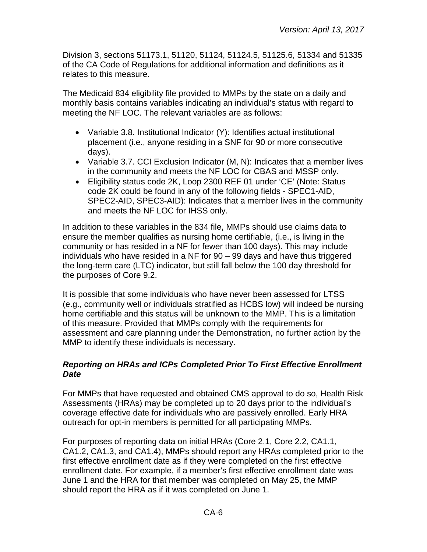Division 3, sections 51173.1, 51120, 51124, 51124.5, 51125.6, 51334 and 51335 of the CA Code of Regulations for additional information and definitions as it relates to this measure.

The Medicaid 834 eligibility file provided to MMPs by the state on a daily and monthly basis contains variables indicating an individual's status with regard to meeting the NF LOC. The relevant variables are as follows:

- Variable 3.8. Institutional Indicator (Y): Identifies actual institutional placement (i.e., anyone residing in a SNF for 90 or more consecutive days).
- Variable 3.7. CCI Exclusion Indicator (M, N): Indicates that a member lives in the community and meets the NF LOC for CBAS and MSSP only.
- Eligibility status code 2K, Loop 2300 REF 01 under 'CE' (Note: Status code 2K could be found in any of the following fields - SPEC1-AID, SPEC2-AID, SPEC3-AID): Indicates that a member lives in the community and meets the NF LOC for IHSS only.

In addition to these variables in the 834 file, MMPs should use claims data to ensure the member qualifies as nursing home certifiable, (i.e., is living in the community or has resided in a NF for fewer than 100 days). This may include individuals who have resided in a NF for 90 – 99 days and have thus triggered the long-term care (LTC) indicator, but still fall below the 100 day threshold for the purposes of Core 9.2.

It is possible that some individuals who have never been assessed for LTSS (e.g., community well or individuals stratified as HCBS low) will indeed be nursing home certifiable and this status will be unknown to the MMP. This is a limitation of this measure. Provided that MMPs comply with the requirements for assessment and care planning under the Demonstration, no further action by the MMP to identify these individuals is necessary.

## <span id="page-5-0"></span>*Reporting on HRAs and ICPs Completed Prior To First Effective Enrollment Date*

For MMPs that have requested and obtained CMS approval to do so, Health Risk Assessments (HRAs) may be completed up to 20 days prior to the individual's coverage effective date for individuals who are passively enrolled. Early HRA outreach for opt-in members is permitted for all participating MMPs.

For purposes of reporting data on initial HRAs (Core 2.1, Core 2.2, CA1.1, CA1.2, CA1.3, and CA1.4), MMPs should report any HRAs completed prior to the first effective enrollment date as if they were completed on the first effective enrollment date. For example, if a member's first effective enrollment date was June 1 and the HRA for that member was completed on May 25, the MMP should report the HRA as if it was completed on June 1.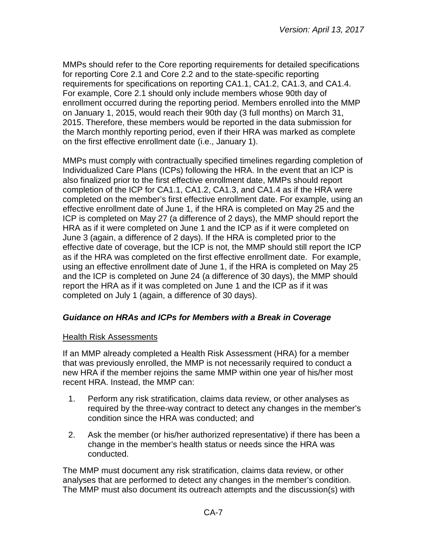MMPs should refer to the Core reporting requirements for detailed specifications for reporting Core 2.1 and Core 2.2 and to the state-specific reporting requirements for specifications on reporting CA1.1, CA1.2, CA1.3, and CA1.4. For example, Core 2.1 should only include members whose 90th day of enrollment occurred during the reporting period. Members enrolled into the MMP on January 1, 2015, would reach their 90th day (3 full months) on March 31, 2015. Therefore, these members would be reported in the data submission for the March monthly reporting period, even if their HRA was marked as complete on the first effective enrollment date (i.e., January 1).

MMPs must comply with contractually specified timelines regarding completion of Individualized Care Plans (ICPs) following the HRA. In the event that an ICP is also finalized prior to the first effective enrollment date, MMPs should report completion of the ICP for CA1.1, CA1.2, CA1.3, and CA1.4 as if the HRA were completed on the member's first effective enrollment date. For example, using an effective enrollment date of June 1, if the HRA is completed on May 25 and the ICP is completed on May 27 (a difference of 2 days), the MMP should report the HRA as if it were completed on June 1 and the ICP as if it were completed on June 3 (again, a difference of 2 days). If the HRA is completed prior to the effective date of coverage, but the ICP is not, the MMP should still report the ICP as if the HRA was completed on the first effective enrollment date. For example, using an effective enrollment date of June 1, if the HRA is completed on May 25 and the ICP is completed on June 24 (a difference of 30 days), the MMP should report the HRA as if it was completed on June 1 and the ICP as if it was completed on July 1 (again, a difference of 30 days).

## <span id="page-6-0"></span>*Guidance on HRAs and ICPs for Members with a Break in Coverage*

#### **Health Risk Assessments**

If an MMP already completed a Health Risk Assessment (HRA) for a member that was previously enrolled, the MMP is not necessarily required to conduct a new HRA if the member rejoins the same MMP within one year of his/her most recent HRA. Instead, the MMP can:

- 1. Perform any risk stratification, claims data review, or other analyses as required by the three-way contract to detect any changes in the member's condition since the HRA was conducted; and
- 2. Ask the member (or his/her authorized representative) if there has been a change in the member's health status or needs since the HRA was conducted.

The MMP must document any risk stratification, claims data review, or other analyses that are performed to detect any changes in the member's condition. The MMP must also document its outreach attempts and the discussion(s) with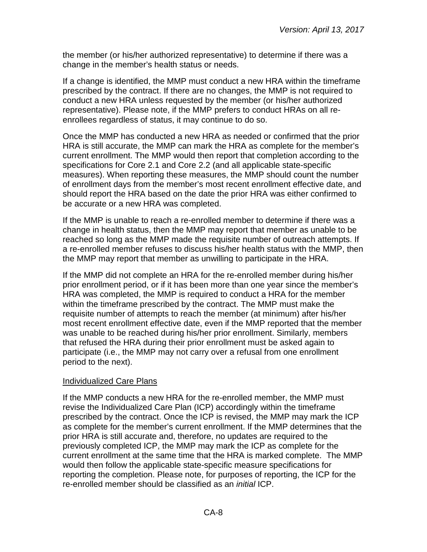the member (or his/her authorized representative) to determine if there was a change in the member's health status or needs.

If a change is identified, the MMP must conduct a new HRA within the timeframe prescribed by the contract. If there are no changes, the MMP is not required to conduct a new HRA unless requested by the member (or his/her authorized representative). Please note, if the MMP prefers to conduct HRAs on all reenrollees regardless of status, it may continue to do so.

Once the MMP has conducted a new HRA as needed or confirmed that the prior HRA is still accurate, the MMP can mark the HRA as complete for the member's current enrollment. The MMP would then report that completion according to the specifications for Core 2.1 and Core 2.2 (and all applicable state-specific measures). When reporting these measures, the MMP should count the number of enrollment days from the member's most recent enrollment effective date, and should report the HRA based on the date the prior HRA was either confirmed to be accurate or a new HRA was completed.

If the MMP is unable to reach a re-enrolled member to determine if there was a change in health status, then the MMP may report that member as unable to be reached so long as the MMP made the requisite number of outreach attempts. If a re-enrolled member refuses to discuss his/her health status with the MMP, then the MMP may report that member as unwilling to participate in the HRA.

If the MMP did not complete an HRA for the re-enrolled member during his/her prior enrollment period, or if it has been more than one year since the member's HRA was completed, the MMP is required to conduct a HRA for the member within the timeframe prescribed by the contract. The MMP must make the requisite number of attempts to reach the member (at minimum) after his/her most recent enrollment effective date, even if the MMP reported that the member was unable to be reached during his/her prior enrollment. Similarly, members that refused the HRA during their prior enrollment must be asked again to participate (i.e., the MMP may not carry over a refusal from one enrollment period to the next).

#### Individualized Care Plans

If the MMP conducts a new HRA for the re-enrolled member, the MMP must revise the Individualized Care Plan (ICP) accordingly within the timeframe prescribed by the contract. Once the ICP is revised, the MMP may mark the ICP as complete for the member's current enrollment. If the MMP determines that the prior HRA is still accurate and, therefore, no updates are required to the previously completed ICP, the MMP may mark the ICP as complete for the current enrollment at the same time that the HRA is marked complete. The MMP would then follow the applicable state-specific measure specifications for reporting the completion. Please note, for purposes of reporting, the ICP for the re-enrolled member should be classified as an *initial* ICP.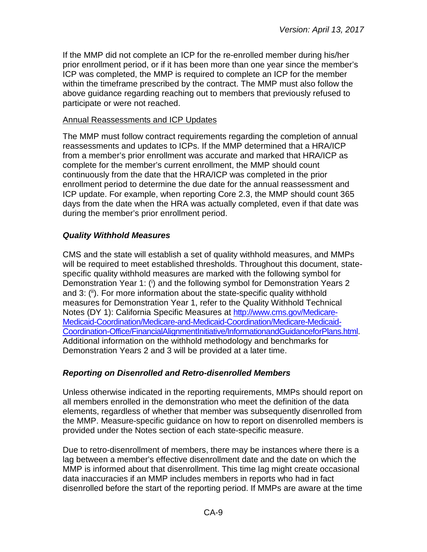If the MMP did not complete an ICP for the re-enrolled member during his/her prior enrollment period, or if it has been more than one year since the member's ICP was completed, the MMP is required to complete an ICP for the member within the timeframe prescribed by the contract. The MMP must also follow the above guidance regarding reaching out to members that previously refused to participate or were not reached.

#### Annual Reassessments and ICP Updates

The MMP must follow contract requirements regarding the completion of annual reassessments and updates to ICPs. If the MMP determined that a HRA/ICP from a member's prior enrollment was accurate and marked that HRA/ICP as complete for the member's current enrollment, the MMP should count continuously from the date that the HRA/ICP was completed in the prior enrollment period to determine the due date for the annual reassessment and ICP update. For example, when reporting Core 2.3, the MMP should count 365 days from the date when the HRA was actually completed, even if that date was during the member's prior enrollment period.

#### <span id="page-8-0"></span>*Quality Withhold Measures*

CMS and the state will establish a set of quality withhold measures, and MMPs will be required to meet established thresholds. Throughout this document, statespecific quality withhold measures are marked with the following symbol for Demonstration Year 1: (i) and the following symbol for Demonstration Years 2 and 3: (ii). For more information about the state-specific quality withhold measures for Demonstration Year 1, refer to the Quality Withhold Technical Notes (DY 1): California Specific Measures at [http://www.cms.gov/Medicare-](http://www.cms.gov/Medicare-Medicaid-Coordination/Medicare-and-Medicaid-Coordination/Medicare-Medicaid-Coordination-Office/FinancialAlignmentInitiative/InformationandGuidanceforPlans.html)[Medicaid-Coordination/Medicare-and-Medicaid-Coordination/Medicare-Medicaid-](http://www.cms.gov/Medicare-Medicaid-Coordination/Medicare-and-Medicaid-Coordination/Medicare-Medicaid-Coordination-Office/FinancialAlignmentInitiative/InformationandGuidanceforPlans.html)[Coordination-Office/FinancialAlignmentInitiative/InformationandGuidanceforPlans.html.](http://www.cms.gov/Medicare-Medicaid-Coordination/Medicare-and-Medicaid-Coordination/Medicare-Medicaid-Coordination-Office/FinancialAlignmentInitiative/InformationandGuidanceforPlans.html) Additional information on the withhold methodology and benchmarks for Demonstration Years 2 and 3 will be provided at a later time.

#### <span id="page-8-1"></span>*Reporting on Disenrolled and Retro-disenrolled Members*

Unless otherwise indicated in the reporting requirements, MMPs should report on all members enrolled in the demonstration who meet the definition of the data elements, regardless of whether that member was subsequently disenrolled from the MMP. Measure-specific guidance on how to report on disenrolled members is provided under the Notes section of each state-specific measure.

Due to retro-disenrollment of members, there may be instances where there is a lag between a member's effective disenrollment date and the date on which the MMP is informed about that disenrollment. This time lag might create occasional data inaccuracies if an MMP includes members in reports who had in fact disenrolled before the start of the reporting period. If MMPs are aware at the time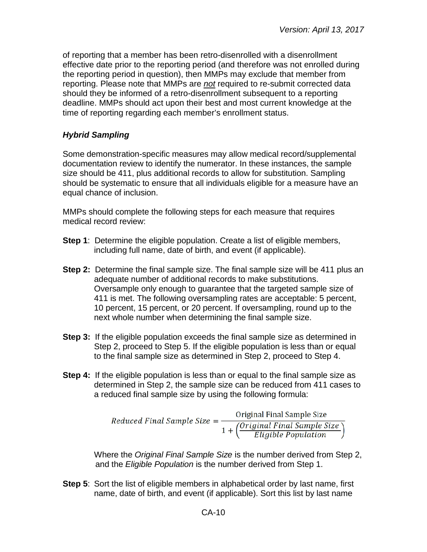of reporting that a member has been retro-disenrolled with a disenrollment effective date prior to the reporting period (and therefore was not enrolled during the reporting period in question), then MMPs may exclude that member from reporting. Please note that MMPs are *not* required to re-submit corrected data should they be informed of a retro-disenrollment subsequent to a reporting deadline. MMPs should act upon their best and most current knowledge at the time of reporting regarding each member's enrollment status.

### <span id="page-9-0"></span>*Hybrid Sampling*

Some demonstration-specific measures may allow medical record/supplemental documentation review to identify the numerator. In these instances, the sample size should be 411, plus additional records to allow for substitution. Sampling should be systematic to ensure that all individuals eligible for a measure have an equal chance of inclusion.

MMPs should complete the following steps for each measure that requires medical record review:

- **Step 1**: Determine the eligible population. Create a list of eligible members, including full name, date of birth, and event (if applicable).
- **Step 2:** Determine the final sample size. The final sample size will be 411 plus an adequate number of additional records to make substitutions. Oversample only enough to guarantee that the targeted sample size of 411 is met. The following oversampling rates are acceptable: 5 percent, 10 percent, 15 percent, or 20 percent. If oversampling, round up to the next whole number when determining the final sample size.
- **Step 3:** If the eligible population exceeds the final sample size as determined in Step 2, proceed to Step 5. If the eligible population is less than or equal to the final sample size as determined in Step 2, proceed to Step 4.
- **Step 4:** If the eligible population is less than or equal to the final sample size as determined in Step 2, the sample size can be reduced from 411 cases to a reduced final sample size by using the following formula:

Reduced Final Sample Size =  $\frac{Original \text{ Final Sample Size}}{1 + \left(\frac{Original \text{ Final Sample Size}}{Eligible \text{ Population}}\right)}$ 

Where the *Original Final Sample Size* is the number derived from Step 2, and the *Eligible Population* is the number derived from Step 1.

**Step 5**: Sort the list of eligible members in alphabetical order by last name, first name, date of birth, and event (if applicable). Sort this list by last name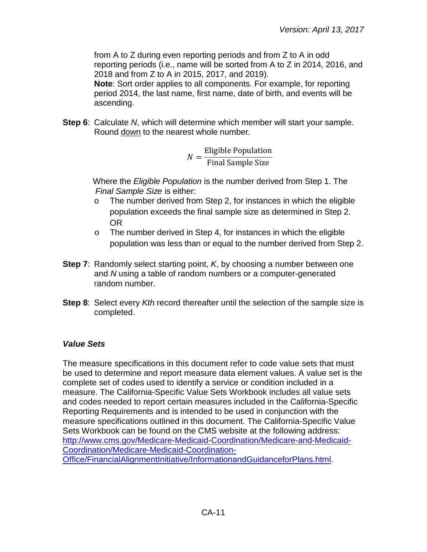from A to Z during even reporting periods and from Z to A in odd reporting periods (i.e., name will be sorted from A to Z in 2014, 2016, and 2018 and from Z to A in 2015, 2017, and 2019).

**Note**: Sort order applies to all components. For example, for reporting period 2014, the last name, first name, date of birth, and events will be ascending.

**Step 6**: Calculate *N*, which will determine which member will start your sample. Round down to the nearest whole number.

$$
N = \frac{\text{Eligible Population}}{\text{Final Sample Size}}
$$

Where the *Eligible Population* is the number derived from Step 1. The *Final Sample Size* is either:

- o The number derived from Step 2, for instances in which the eligible population exceeds the final sample size as determined in Step 2. OR
- o The number derived in Step 4, for instances in which the eligible population was less than or equal to the number derived from Step 2.
- **Step 7**: Randomly select starting point, *K*, by choosing a number between one and *N* using a table of random numbers or a computer-generated random number.
- **Step 8**: Select every *Kth* record thereafter until the selection of the sample size is completed.

## <span id="page-10-0"></span>*Value Sets*

The measure specifications in this document refer to code value sets that must be used to determine and report measure data element values. A value set is the complete set of codes used to identify a service or condition included in a measure. The California-Specific Value Sets Workbook includes all value sets and codes needed to report certain measures included in the California-Specific Reporting Requirements and is intended to be used in conjunction with the measure specifications outlined in this document. The California-Specific Value Sets Workbook can be found on the CMS website at the following address: [http://www.cms.gov/Medicare-Medicaid-Coordination/Medicare-and-Medicaid-](http://www.cms.gov/Medicare-Medicaid-Coordination/Medicare-and-Medicaid-Coordination/Medicare-Medicaid-Coordination-Office/FinancialAlignmentInitiative/InformationandGuidanceforPlans.html)[Coordination/Medicare-Medicaid-Coordination-](http://www.cms.gov/Medicare-Medicaid-Coordination/Medicare-and-Medicaid-Coordination/Medicare-Medicaid-Coordination-Office/FinancialAlignmentInitiative/InformationandGuidanceforPlans.html)[Office/FinancialAlignmentInitiative/InformationandGuidanceforPlans.html.](http://www.cms.gov/Medicare-Medicaid-Coordination/Medicare-and-Medicaid-Coordination/Medicare-Medicaid-Coordination-Office/FinancialAlignmentInitiative/InformationandGuidanceforPlans.html)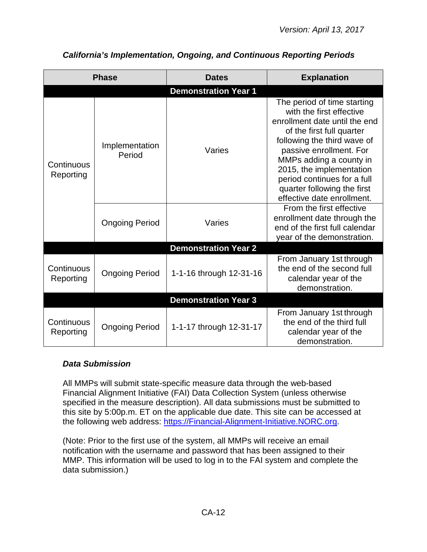| <b>Phase</b>            |                             | <b>Dates</b>                | <b>Explanation</b>                                                                                                                                                                                                                                                                                                                 |  |  |
|-------------------------|-----------------------------|-----------------------------|------------------------------------------------------------------------------------------------------------------------------------------------------------------------------------------------------------------------------------------------------------------------------------------------------------------------------------|--|--|
|                         |                             | <b>Demonstration Year 1</b> |                                                                                                                                                                                                                                                                                                                                    |  |  |
| Continuous<br>Reporting | Implementation<br>Period    | Varies                      | The period of time starting<br>with the first effective<br>enrollment date until the end<br>of the first full quarter<br>following the third wave of<br>passive enrollment. For<br>MMPs adding a county in<br>2015, the implementation<br>period continues for a full<br>quarter following the first<br>effective date enrollment. |  |  |
|                         | <b>Ongoing Period</b>       | Varies                      | From the first effective<br>enrollment date through the<br>end of the first full calendar<br>year of the demonstration.                                                                                                                                                                                                            |  |  |
|                         |                             | <b>Demonstration Year 2</b> |                                                                                                                                                                                                                                                                                                                                    |  |  |
| Continuous<br>Reporting | <b>Ongoing Period</b>       | 1-1-16 through 12-31-16     | From January 1st through<br>the end of the second full<br>calendar year of the<br>demonstration.                                                                                                                                                                                                                                   |  |  |
|                         | <b>Demonstration Year 3</b> |                             |                                                                                                                                                                                                                                                                                                                                    |  |  |
| Continuous<br>Reporting | <b>Ongoing Period</b>       | 1-1-17 through 12-31-17     | From January 1st through<br>the end of the third full<br>calendar year of the<br>demonstration.                                                                                                                                                                                                                                    |  |  |

# <span id="page-11-0"></span>*California's Implementation, Ongoing, and Continuous Reporting Periods*

#### <span id="page-11-1"></span>*Data Submission*

All MMPs will submit state-specific measure data through the web-based Financial Alignment Initiative (FAI) Data Collection System (unless otherwise specified in the measure description). All data submissions must be submitted to this site by 5:00p.m. ET on the applicable due date. This site can be accessed at the following web address: [https://Financial-Alignment-Initiative.NORC.org.](https://financial-alignment-initiative.norc.org/)

(Note: Prior to the first use of the system, all MMPs will receive an email notification with the username and password that has been assigned to their MMP. This information will be used to log in to the FAI system and complete the data submission.)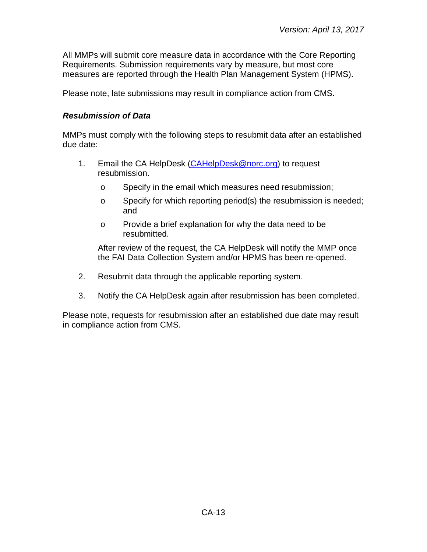All MMPs will submit core measure data in accordance with the Core Reporting Requirements. Submission requirements vary by measure, but most core measures are reported through the Health Plan Management System (HPMS).

<span id="page-12-0"></span>Please note, late submissions may result in compliance action from CMS.

## *Resubmission of Data*

MMPs must comply with the following steps to resubmit data after an established due date:

- 1. Email the CA HelpDesk [\(CAHelpDesk@norc.org\)](mailto:CAHelpDesk@norc.org) to request resubmission.
	- o Specify in the email which measures need resubmission;
	- o Specify for which reporting period(s) the resubmission is needed; and
	- o Provide a brief explanation for why the data need to be resubmitted.

After review of the request, the CA HelpDesk will notify the MMP once the FAI Data Collection System and/or HPMS has been re-opened.

- 2. Resubmit data through the applicable reporting system.
- 3. Notify the CA HelpDesk again after resubmission has been completed.

Please note, requests for resubmission after an established due date may result in compliance action from CMS.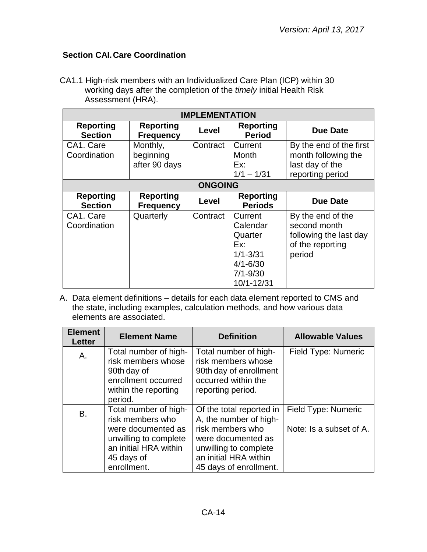## <span id="page-13-0"></span>**Section CAI.Care Coordination**

CA1.1 High-risk members with an Individualized Care Plan (ICP) within 30 working days after the completion of the *timely* initial Health Risk Assessment (HRA).

| <b>IMPLEMENTATION</b>              |                                        |          |                                                                                                     |                                                                                           |
|------------------------------------|----------------------------------------|----------|-----------------------------------------------------------------------------------------------------|-------------------------------------------------------------------------------------------|
| <b>Reporting</b><br><b>Section</b> | <b>Reporting</b><br><b>Frequency</b>   | Level    | <b>Reporting</b><br><b>Period</b>                                                                   | <b>Due Date</b>                                                                           |
| CA1. Care<br>Coordination          | Monthly,<br>beginning<br>after 90 days | Contract | Current<br>Month<br>Ex:<br>$1/1 - 1/31$                                                             | By the end of the first<br>month following the<br>last day of the<br>reporting period     |
| <b>ONGOING</b>                     |                                        |          |                                                                                                     |                                                                                           |
| <b>Reporting</b><br><b>Section</b> | <b>Reporting</b><br><b>Frequency</b>   | Level    | <b>Reporting</b><br><b>Periods</b>                                                                  | <b>Due Date</b>                                                                           |
| CA1. Care<br>Coordination          | Quarterly                              | Contract | Current<br>Calendar<br>Quarter<br>Ex:<br>$1/1 - 3/31$<br>$4/1 - 6/30$<br>$7/1 - 9/30$<br>10/1-12/31 | By the end of the<br>second month<br>following the last day<br>of the reporting<br>period |

A. Data element definitions – details for each data element reported to CMS and the state, including examples, calculation methods, and how various data elements are associated.

| <b>Element</b><br><b>Letter</b> | <b>Element Name</b>                                                                                                                            | <b>Definition</b>                                                                                                                                                        | <b>Allowable Values</b>                        |
|---------------------------------|------------------------------------------------------------------------------------------------------------------------------------------------|--------------------------------------------------------------------------------------------------------------------------------------------------------------------------|------------------------------------------------|
| Α.                              | Total number of high-<br>risk members whose<br>90th day of<br>enrollment occurred<br>within the reporting<br>period.                           | Total number of high-<br>risk members whose<br>90th day of enrollment<br>occurred within the<br>reporting period.                                                        | Field Type: Numeric                            |
| B.                              | Total number of high-<br>risk members who<br>were documented as<br>unwilling to complete<br>an initial HRA within<br>45 days of<br>enrollment. | Of the total reported in<br>A, the number of high-<br>risk members who<br>were documented as<br>unwilling to complete<br>an initial HRA within<br>45 days of enrollment. | Field Type: Numeric<br>Note: Is a subset of A. |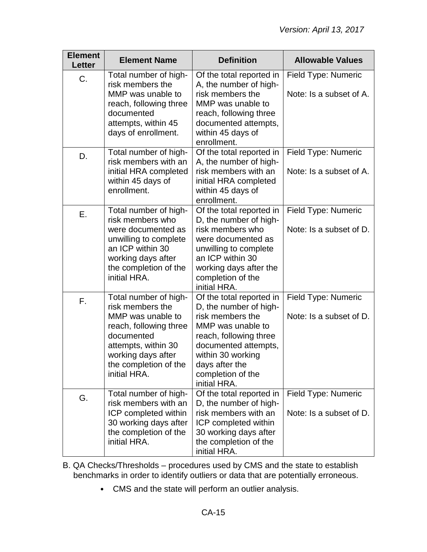| <b>Element</b><br><b>Letter</b> | <b>Element Name</b>                                                                                                                                                                          | <b>Definition</b>                                                                                                                                                                                                         | <b>Allowable Values</b>                        |
|---------------------------------|----------------------------------------------------------------------------------------------------------------------------------------------------------------------------------------------|---------------------------------------------------------------------------------------------------------------------------------------------------------------------------------------------------------------------------|------------------------------------------------|
| C.                              | Total number of high-<br>risk members the<br>MMP was unable to<br>reach, following three<br>documented<br>attempts, within 45<br>days of enrollment.                                         | Of the total reported in<br>A, the number of high-<br>risk members the<br>MMP was unable to<br>reach, following three<br>documented attempts,<br>within 45 days of<br>enrollment.                                         | Field Type: Numeric<br>Note: Is a subset of A. |
| D.                              | Total number of high-<br>risk members with an<br>initial HRA completed<br>within 45 days of<br>enrollment.                                                                                   | Of the total reported in<br>A, the number of high-<br>risk members with an<br>initial HRA completed<br>within 45 days of<br>enrollment.                                                                                   | Field Type: Numeric<br>Note: Is a subset of A. |
| Е.                              | Total number of high-<br>risk members who<br>were documented as<br>unwilling to complete<br>an ICP within 30<br>working days after<br>the completion of the<br>initial HRA.                  | Of the total reported in<br>D, the number of high-<br>risk members who<br>were documented as<br>unwilling to complete<br>an ICP within 30<br>working days after the<br>completion of the<br>initial HRA.                  | Field Type: Numeric<br>Note: Is a subset of D. |
| F.                              | Total number of high-<br>risk members the<br>MMP was unable to<br>reach, following three<br>documented<br>attempts, within 30<br>working days after<br>the completion of the<br>initial HRA. | Of the total reported in<br>D, the number of high-<br>risk members the<br>MMP was unable to<br>reach, following three<br>documented attempts,<br>within 30 working<br>days after the<br>completion of the<br>initial HRA. | Field Type: Numeric<br>Note: Is a subset of D. |
| G.                              | Total number of high-<br>risk members with an<br>ICP completed within<br>30 working days after<br>the completion of the<br>initial HRA.                                                      | Of the total reported in<br>D, the number of high-<br>risk members with an<br>ICP completed within<br>30 working days after<br>the completion of the<br>initial HRA.                                                      | Field Type: Numeric<br>Note: Is a subset of D. |

- B. QA Checks/Thresholds procedures used by CMS and the state to establish benchmarks in order to identify outliers or data that are potentially erroneous.
	- CMS and the state will perform an outlier analysis.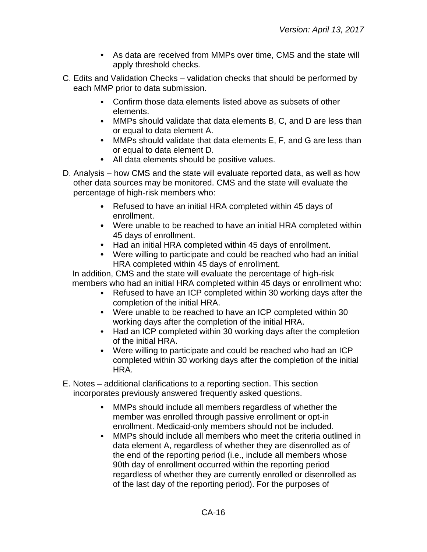- As data are received from MMPs over time, CMS and the state will apply threshold checks.
- C. Edits and Validation Checks validation checks that should be performed by each MMP prior to data submission.
	- Confirm those data elements listed above as subsets of other elements.
	- MMPs should validate that data elements B, C, and D are less than or equal to data element A.
	- MMPs should validate that data elements E, F, and G are less than or equal to data element D.
	- All data elements should be positive values.
- D. Analysis how CMS and the state will evaluate reported data, as well as how other data sources may be monitored. CMS and the state will evaluate the percentage of high-risk members who:
	- Refused to have an initial HRA completed within 45 days of enrollment.
	- Were unable to be reached to have an initial HRA completed within 45 days of enrollment.
	- Had an initial HRA completed within 45 days of enrollment.
	- Were willing to participate and could be reached who had an initial HRA completed within 45 days of enrollment.

In addition, CMS and the state will evaluate the percentage of high-risk members who had an initial HRA completed within 45 days or enrollment who:

- Refused to have an ICP completed within 30 working days after the completion of the initial HRA.
- Were unable to be reached to have an ICP completed within 30 working days after the completion of the initial HRA.
- Had an ICP completed within 30 working days after the completion of the initial HRA.
- Were willing to participate and could be reached who had an ICP completed within 30 working days after the completion of the initial HRA.
- E. Notes additional clarifications to a reporting section. This section incorporates previously answered frequently asked questions.
	- MMPs should include all members regardless of whether the member was enrolled through passive enrollment or opt-in enrollment. Medicaid-only members should not be included.
	- $\bullet$ MMPs should include all members who meet the criteria outlined in data element A, regardless of whether they are disenrolled as of the end of the reporting period (i.e., include all members whose 90th day of enrollment occurred within the reporting period regardless of whether they are currently enrolled or disenrolled as of the last day of the reporting period). For the purposes of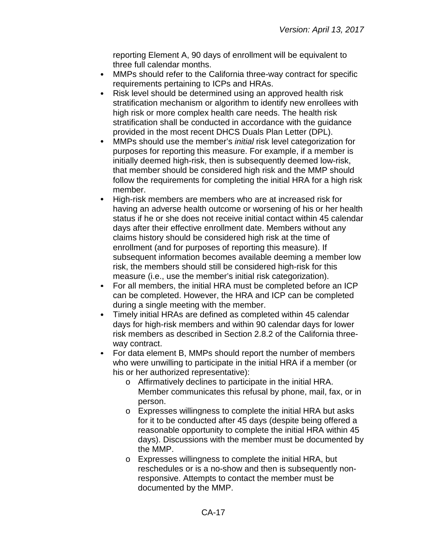reporting Element A, 90 days of enrollment will be equivalent to three full calendar months.

- MMPs should refer to the California three-way contract for specific  $\bullet$ requirements pertaining to ICPs and HRAs.
- Risk level should be determined using an approved health risk  $\bullet$ stratification mechanism or algorithm to identify new enrollees with high risk or more complex health care needs. The health risk stratification shall be conducted in accordance with the guidance provided in the most recent DHCS Duals Plan Letter (DPL).
- $\bullet$ MMPs should use the member's *initial* risk level categorization for purposes for reporting this measure. For example, if a member is initially deemed high-risk, then is subsequently deemed low-risk, that member should be considered high risk and the MMP should follow the requirements for completing the initial HRA for a high risk member.
- $\bullet$ High-risk members are members who are at increased risk for having an adverse health outcome or worsening of his or her health status if he or she does not receive initial contact within 45 calendar days after their effective enrollment date. Members without any claims history should be considered high risk at the time of enrollment (and for purposes of reporting this measure). If subsequent information becomes available deeming a member low risk, the members should still be considered high-risk for this measure (i.e., use the member's initial risk categorization).
- For all members, the initial HRA must be completed before an ICP  $\bullet$ can be completed. However, the HRA and ICP can be completed during a single meeting with the member.
- Timely initial HRAs are defined as completed within 45 calendar days for high-risk members and within 90 calendar days for lower risk members as described in Section 2.8.2 of the California threeway contract.
- For data element B, MMPs should report the number of members who were unwilling to participate in the initial HRA if a member (or his or her authorized representative):
	- o Affirmatively declines to participate in the initial HRA. Member communicates this refusal by phone, mail, fax, or in person.
	- o Expresses willingness to complete the initial HRA but asks for it to be conducted after 45 days (despite being offered a reasonable opportunity to complete the initial HRA within 45 days). Discussions with the member must be documented by the MMP.
	- o Expresses willingness to complete the initial HRA, but reschedules or is a no-show and then is subsequently nonresponsive. Attempts to contact the member must be documented by the MMP.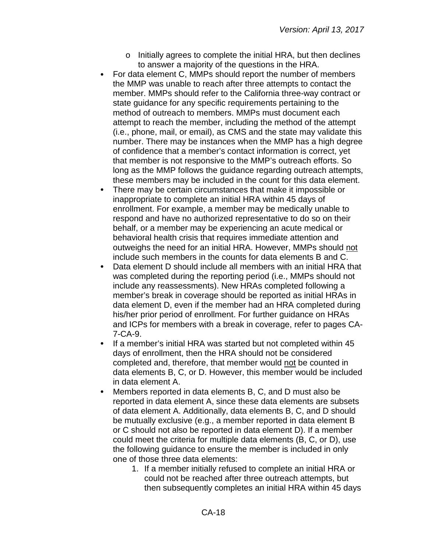- o Initially agrees to complete the initial HRA, but then declines to answer a majority of the questions in the HRA.
- For data element C, MMPs should report the number of members the MMP was unable to reach after three attempts to contact the member. MMPs should refer to the California three-way contract or state guidance for any specific requirements pertaining to the method of outreach to members. MMPs must document each attempt to reach the member, including the method of the attempt (i.e., phone, mail, or email), as CMS and the state may validate this number. There may be instances when the MMP has a high degree of confidence that a member's contact information is correct, yet that member is not responsive to the MMP's outreach efforts. So long as the MMP follows the guidance regarding outreach attempts, these members may be included in the count for this data element.
- There may be certain circumstances that make it impossible or inappropriate to complete an initial HRA within 45 days of enrollment. For example, a member may be medically unable to respond and have no authorized representative to do so on their behalf, or a member may be experiencing an acute medical or behavioral health crisis that requires immediate attention and outweighs the need for an initial HRA. However, MMPs should not include such members in the counts for data elements B and C.
- Data element D should include all members with an initial HRA that was completed during the reporting period (i.e., MMPs should not include any reassessments). New HRAs completed following a member's break in coverage should be reported as initial HRAs in data element D, even if the member had an HRA completed during his/her prior period of enrollment. For further guidance on HRAs and ICPs for members with a break in coverage, refer to pages CA-7-CA-9.
- If a member's initial HRA was started but not completed within 45  $\bullet$ days of enrollment, then the HRA should not be considered completed and, therefore, that member would not be counted in data elements B, C, or D. However, this member would be included in data element A.
- Members reported in data elements B, C, and D must also be reported in data element A, since these data elements are subsets of data element A. Additionally, data elements B, C, and D should be mutually exclusive (e.g., a member reported in data element B or C should not also be reported in data element D). If a member could meet the criteria for multiple data elements (B, C, or D), use the following guidance to ensure the member is included in only one of those three data elements:
	- 1. If a member initially refused to complete an initial HRA or could not be reached after three outreach attempts, but then subsequently completes an initial HRA within 45 days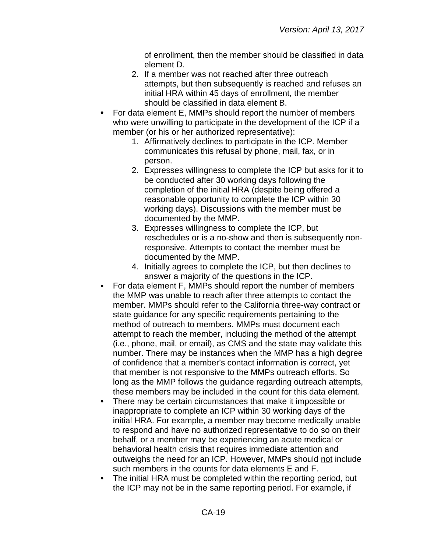of enrollment, then the member should be classified in data element D.

- 2. If a member was not reached after three outreach attempts, but then subsequently is reached and refuses an initial HRA within 45 days of enrollment, the member should be classified in data element B.
- For data element E, MMPs should report the number of members who were unwilling to participate in the development of the ICP if a member (or his or her authorized representative):
	- 1. Affirmatively declines to participate in the ICP. Member communicates this refusal by phone, mail, fax, or in person.
	- 2. Expresses willingness to complete the ICP but asks for it to be conducted after 30 working days following the completion of the initial HRA (despite being offered a reasonable opportunity to complete the ICP within 30 working days). Discussions with the member must be documented by the MMP.
	- 3. Expresses willingness to complete the ICP, but reschedules or is a no-show and then is subsequently nonresponsive. Attempts to contact the member must be documented by the MMP.
	- 4. Initially agrees to complete the ICP, but then declines to answer a majority of the questions in the ICP.
- For data element F, MMPs should report the number of members the MMP was unable to reach after three attempts to contact the member. MMPs should refer to the California three-way contract or state guidance for any specific requirements pertaining to the method of outreach to members. MMPs must document each attempt to reach the member, including the method of the attempt (i.e., phone, mail, or email), as CMS and the state may validate this number. There may be instances when the MMP has a high degree of confidence that a member's contact information is correct, yet that member is not responsive to the MMPs outreach efforts. So long as the MMP follows the guidance regarding outreach attempts, these members may be included in the count for this data element.
- There may be certain circumstances that make it impossible or  $\bullet$ inappropriate to complete an ICP within 30 working days of the initial HRA. For example, a member may become medically unable to respond and have no authorized representative to do so on their behalf, or a member may be experiencing an acute medical or behavioral health crisis that requires immediate attention and outweighs the need for an ICP. However, MMPs should not include such members in the counts for data elements E and F.
- The initial HRA must be completed within the reporting period, but the ICP may not be in the same reporting period. For example, if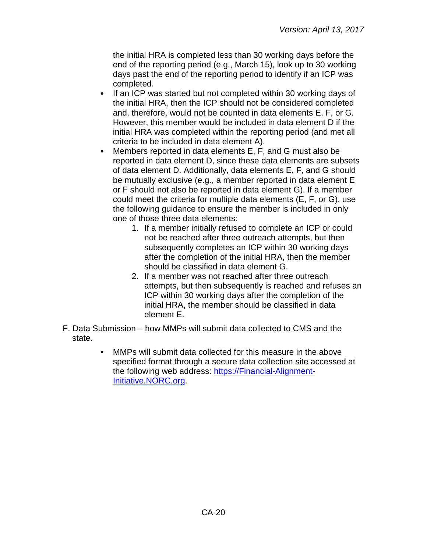the initial HRA is completed less than 30 working days before the end of the reporting period (e.g., March 15), look up to 30 working days past the end of the reporting period to identify if an ICP was completed.

- $\bullet$ If an ICP was started but not completed within 30 working days of the initial HRA, then the ICP should not be considered completed and, therefore, would not be counted in data elements E, F, or G. However, this member would be included in data element D if the initial HRA was completed within the reporting period (and met all criteria to be included in data element A).
- Members reported in data elements E, F, and G must also be  $\bullet$ reported in data element D, since these data elements are subsets of data element D. Additionally, data elements E, F, and G should be mutually exclusive (e.g., a member reported in data element E or F should not also be reported in data element G). If a member could meet the criteria for multiple data elements (E, F, or G), use the following guidance to ensure the member is included in only one of those three data elements:
	- 1. If a member initially refused to complete an ICP or could not be reached after three outreach attempts, but then subsequently completes an ICP within 30 working days after the completion of the initial HRA, then the member should be classified in data element G.
	- 2. If a member was not reached after three outreach attempts, but then subsequently is reached and refuses an ICP within 30 working days after the completion of the initial HRA, the member should be classified in data element E.
- F. Data Submission how MMPs will submit data collected to CMS and the state.
	- $\bullet$ MMPs will submit data collected for this measure in the above specified format through a secure data collection site accessed at the following web address: [https://Financial-Alignment-](https://financial-alignment-initiative.norc.org/)[Initiative.NORC.org.](https://financial-alignment-initiative.norc.org/)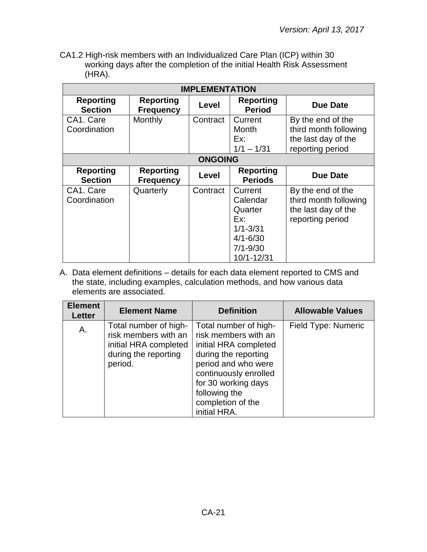CA1.2 High-risk members with an Individualized Care Plan (ICP) within 30 working days after the completion of the initial Health Risk Assessment (HRA).

| <b>IMPLEMENTATION</b>              |                                      |          |                                                                                                     |                                                                                       |
|------------------------------------|--------------------------------------|----------|-----------------------------------------------------------------------------------------------------|---------------------------------------------------------------------------------------|
| <b>Reporting</b><br><b>Section</b> | <b>Reporting</b><br><b>Frequency</b> | Level    | <b>Reporting</b><br><b>Period</b>                                                                   | <b>Due Date</b>                                                                       |
| CA1. Care<br>Coordination          | Monthly                              | Contract | Current<br>Month<br>Ex:<br>$1/1 - 1/31$                                                             | By the end of the<br>third month following<br>the last day of the<br>reporting period |
|                                    | <b>ONGOING</b>                       |          |                                                                                                     |                                                                                       |
| <b>Reporting</b><br><b>Section</b> | <b>Reporting</b><br><b>Frequency</b> | Level    | <b>Reporting</b><br><b>Periods</b>                                                                  | <b>Due Date</b>                                                                       |
| CA1. Care<br>Coordination          | Quarterly                            | Contract | Current<br>Calendar<br>Quarter<br>Ex:<br>$1/1 - 3/31$<br>$4/1 - 6/30$<br>$7/1 - 9/30$<br>10/1-12/31 | By the end of the<br>third month following<br>the last day of the<br>reporting period |

A. Data element definitions – details for each data element reported to CMS and the state, including examples, calculation methods, and how various data elements are associated.

| <b>Element</b><br>Letter | <b>Element Name</b>                                                                                       | <b>Definition</b>                                                                                                                                                                                                           | <b>Allowable Values</b> |
|--------------------------|-----------------------------------------------------------------------------------------------------------|-----------------------------------------------------------------------------------------------------------------------------------------------------------------------------------------------------------------------------|-------------------------|
| Α.                       | Total number of high-<br>risk members with an<br>initial HRA completed<br>during the reporting<br>period. | Total number of high-<br>risk members with an<br>initial HRA completed<br>during the reporting<br>period and who were<br>continuously enrolled<br>for 30 working days<br>following the<br>completion of the<br>initial HRA. | Field Type: Numeric     |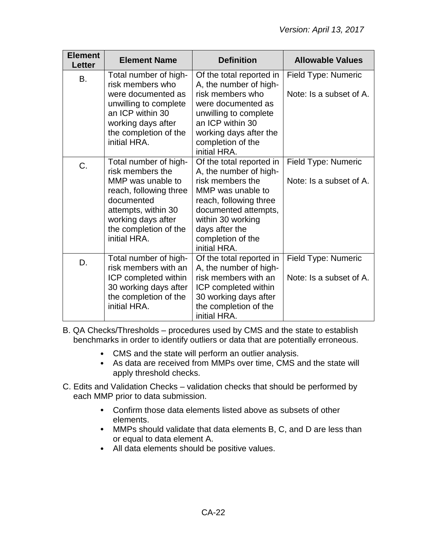| <b>Element</b><br><b>Letter</b> | <b>Element Name</b>                                                                                                                                                                          | <b>Definition</b>                                                                                                                                                                                                         | <b>Allowable Values</b>                        |
|---------------------------------|----------------------------------------------------------------------------------------------------------------------------------------------------------------------------------------------|---------------------------------------------------------------------------------------------------------------------------------------------------------------------------------------------------------------------------|------------------------------------------------|
| В.                              | Total number of high-<br>risk members who<br>were documented as<br>unwilling to complete<br>an ICP within 30<br>working days after<br>the completion of the<br>initial HRA.                  | Of the total reported in<br>A, the number of high-<br>risk members who<br>were documented as<br>unwilling to complete<br>an ICP within 30<br>working days after the<br>completion of the<br>initial HRA.                  | Field Type: Numeric<br>Note: Is a subset of A. |
| C.                              | Total number of high-<br>risk members the<br>MMP was unable to<br>reach, following three<br>documented<br>attempts, within 30<br>working days after<br>the completion of the<br>initial HRA. | Of the total reported in<br>A, the number of high-<br>risk members the<br>MMP was unable to<br>reach, following three<br>documented attempts,<br>within 30 working<br>days after the<br>completion of the<br>initial HRA. | Field Type: Numeric<br>Note: Is a subset of A. |
| D.                              | Total number of high-<br>risk members with an<br>ICP completed within<br>30 working days after<br>the completion of the<br>initial HRA.                                                      | Of the total reported in<br>A, the number of high-<br>risk members with an<br>ICP completed within<br>30 working days after<br>the completion of the<br>initial HRA.                                                      | Field Type: Numeric<br>Note: Is a subset of A. |

B. QA Checks/Thresholds – procedures used by CMS and the state to establish benchmarks in order to identify outliers or data that are potentially erroneous.

- CMS and the state will perform an outlier analysis.
- As data are received from MMPs over time, CMS and the state will apply threshold checks.
- C. Edits and Validation Checks validation checks that should be performed by each MMP prior to data submission.
	- Confirm those data elements listed above as subsets of other elements.
	- MMPs should validate that data elements B, C, and D are less than or equal to data element A.
	- All data elements should be positive values.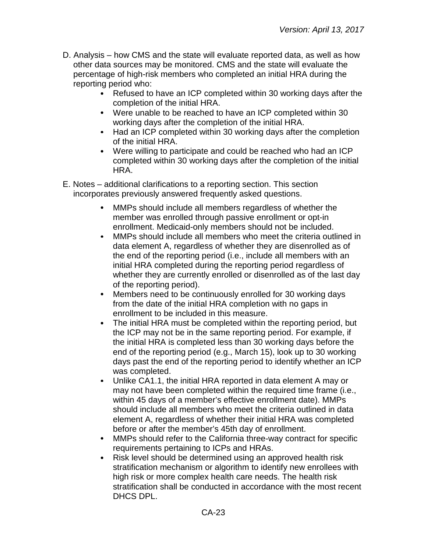- D. Analysis how CMS and the state will evaluate reported data, as well as how other data sources may be monitored. CMS and the state will evaluate the percentage of high-risk members who completed an initial HRA during the reporting period who:
	- Refused to have an ICP completed within 30 working days after the completion of the initial HRA.
	- Were unable to be reached to have an ICP completed within 30 working days after the completion of the initial HRA.
	- Had an ICP completed within 30 working days after the completion of the initial HRA.
	- Were willing to participate and could be reached who had an ICP completed within 30 working days after the completion of the initial HRA.
- E. Notes additional clarifications to a reporting section. This section incorporates previously answered frequently asked questions.
	- MMPs should include all members regardless of whether the  $\bullet$ member was enrolled through passive enrollment or opt-in enrollment. Medicaid-only members should not be included.
	- MMPs should include all members who meet the criteria outlined in  $\bullet$ data element A, regardless of whether they are disenrolled as of the end of the reporting period (i.e., include all members with an initial HRA completed during the reporting period regardless of whether they are currently enrolled or disenrolled as of the last day of the reporting period).
	- Members need to be continuously enrolled for 30 working days  $\bullet$ from the date of the initial HRA completion with no gaps in enrollment to be included in this measure.
	- $\bullet$ The initial HRA must be completed within the reporting period, but the ICP may not be in the same reporting period. For example, if the initial HRA is completed less than 30 working days before the end of the reporting period (e.g., March 15), look up to 30 working days past the end of the reporting period to identify whether an ICP was completed.
	- $\bullet$ Unlike CA1.1, the initial HRA reported in data element A may or may not have been completed within the required time frame (i.e., within 45 days of a member's effective enrollment date). MMPs should include all members who meet the criteria outlined in data element A, regardless of whether their initial HRA was completed before or after the member's 45th day of enrollment.
	- MMPs should refer to the California three-way contract for specific  $\bullet$ requirements pertaining to ICPs and HRAs.
	- Risk level should be determined using an approved health risk  $\bullet$ stratification mechanism or algorithm to identify new enrollees with high risk or more complex health care needs. The health risk stratification shall be conducted in accordance with the most recent DHCS DPL.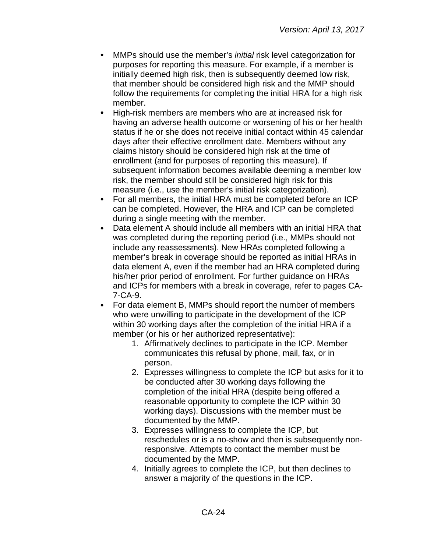- MMPs should use the member's *initial* risk level categorization for purposes for reporting this measure. For example, if a member is initially deemed high risk, then is subsequently deemed low risk, that member should be considered high risk and the MMP should follow the requirements for completing the initial HRA for a high risk member.
- $\bullet$ High-risk members are members who are at increased risk for having an adverse health outcome or worsening of his or her health status if he or she does not receive initial contact within 45 calendar days after their effective enrollment date. Members without any claims history should be considered high risk at the time of enrollment (and for purposes of reporting this measure). If subsequent information becomes available deeming a member low risk, the member should still be considered high risk for this measure (i.e., use the member's initial risk categorization).
- $\bullet$ For all members, the initial HRA must be completed before an ICP can be completed. However, the HRA and ICP can be completed during a single meeting with the member.
- $\bullet$ Data element A should include all members with an initial HRA that was completed during the reporting period (i.e., MMPs should not include any reassessments). New HRAs completed following a member's break in coverage should be reported as initial HRAs in data element A, even if the member had an HRA completed during his/her prior period of enrollment. For further guidance on HRAs and ICPs for members with a break in coverage, refer to pages CA-7-CA-9.
- $\bullet$ For data element B, MMPs should report the number of members who were unwilling to participate in the development of the ICP within 30 working days after the completion of the initial HRA if a member (or his or her authorized representative):
	- 1. Affirmatively declines to participate in the ICP. Member communicates this refusal by phone, mail, fax, or in person.
	- 2. Expresses willingness to complete the ICP but asks for it to be conducted after 30 working days following the completion of the initial HRA (despite being offered a reasonable opportunity to complete the ICP within 30 working days). Discussions with the member must be documented by the MMP.
	- 3. Expresses willingness to complete the ICP, but reschedules or is a no-show and then is subsequently nonresponsive. Attempts to contact the member must be documented by the MMP.
	- 4. Initially agrees to complete the ICP, but then declines to answer a majority of the questions in the ICP.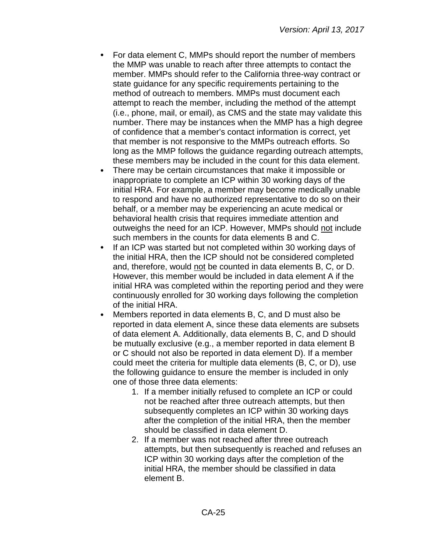- For data element C, MMPs should report the number of members the MMP was unable to reach after three attempts to contact the member. MMPs should refer to the California three-way contract or state guidance for any specific requirements pertaining to the method of outreach to members. MMPs must document each attempt to reach the member, including the method of the attempt (i.e., phone, mail, or email), as CMS and the state may validate this number. There may be instances when the MMP has a high degree of confidence that a member's contact information is correct, yet that member is not responsive to the MMPs outreach efforts. So long as the MMP follows the guidance regarding outreach attempts, these members may be included in the count for this data element.
- There may be certain circumstances that make it impossible or inappropriate to complete an ICP within 30 working days of the initial HRA. For example, a member may become medically unable to respond and have no authorized representative to do so on their behalf, or a member may be experiencing an acute medical or behavioral health crisis that requires immediate attention and outweighs the need for an ICP. However, MMPs should not include such members in the counts for data elements B and C.
- If an ICP was started but not completed within 30 working days of  $\bullet$ the initial HRA, then the ICP should not be considered completed and, therefore, would not be counted in data elements B, C, or D. However, this member would be included in data element A if the initial HRA was completed within the reporting period and they were continuously enrolled for 30 working days following the completion of the initial HRA.
- Members reported in data elements B, C, and D must also be reported in data element A, since these data elements are subsets of data element A. Additionally, data elements B, C, and D should be mutually exclusive (e.g., a member reported in data element B or C should not also be reported in data element D). If a member could meet the criteria for multiple data elements (B, C, or D), use the following guidance to ensure the member is included in only one of those three data elements:
	- 1. If a member initially refused to complete an ICP or could not be reached after three outreach attempts, but then subsequently completes an ICP within 30 working days after the completion of the initial HRA, then the member should be classified in data element D.
	- 2. If a member was not reached after three outreach attempts, but then subsequently is reached and refuses an ICP within 30 working days after the completion of the initial HRA, the member should be classified in data element B.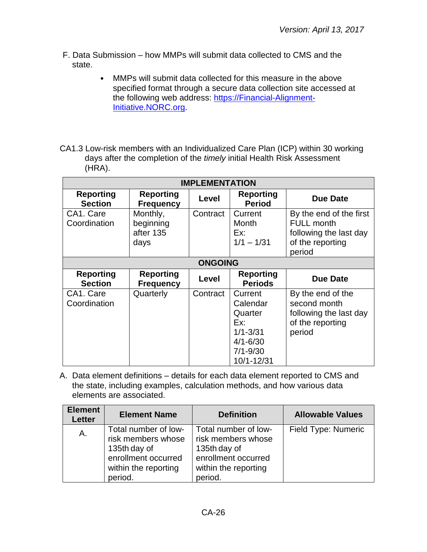- F. Data Submission how MMPs will submit data collected to CMS and the state.
	- $\bullet$ MMPs will submit data collected for this measure in the above specified format through a secure data collection site accessed at the following web address: [https://Financial-Alignment-](https://financial-alignment-initiative.norc.org/)[Initiative.NORC.org.](https://financial-alignment-initiative.norc.org/)
- CA1.3 Low-risk members with an Individualized Care Plan (ICP) within 30 working days after the completion of the *timely* initial Health Risk Assessment (HRA).

| <b>IMPLEMENTATION</b>              |                                            |                |                                                                                                     |                                                                                                      |
|------------------------------------|--------------------------------------------|----------------|-----------------------------------------------------------------------------------------------------|------------------------------------------------------------------------------------------------------|
| <b>Reporting</b><br><b>Section</b> | <b>Reporting</b><br><b>Frequency</b>       | Level          | <b>Reporting</b><br><b>Period</b>                                                                   | <b>Due Date</b>                                                                                      |
| CA1. Care<br>Coordination          | Monthly,<br>beginning<br>after 135<br>days | Contract       | Current<br>Month<br>Ex:<br>$1/1 - 1/31$                                                             | By the end of the first<br><b>FULL month</b><br>following the last day<br>of the reporting<br>period |
|                                    |                                            | <b>ONGOING</b> |                                                                                                     |                                                                                                      |
| <b>Reporting</b><br><b>Section</b> | <b>Reporting</b><br><b>Frequency</b>       | Level          | <b>Reporting</b><br><b>Periods</b>                                                                  | <b>Due Date</b>                                                                                      |
| CA1. Care<br>Coordination          | Quarterly                                  | Contract       | Current<br>Calendar<br>Quarter<br>Ex:<br>$1/1 - 3/31$<br>$4/1 - 6/30$<br>$7/1 - 9/30$<br>10/1-12/31 | By the end of the<br>second month<br>following the last day<br>of the reporting<br>period            |

A. Data element definitions – details for each data element reported to CMS and the state, including examples, calculation methods, and how various data elements are associated.

| <b>Element</b><br>Letter | <b>Element Name</b>                                                                                                  | <b>Definition</b>                                                                                                    | <b>Allowable Values</b> |
|--------------------------|----------------------------------------------------------------------------------------------------------------------|----------------------------------------------------------------------------------------------------------------------|-------------------------|
| A.                       | Total number of low-<br>risk members whose<br>135th day of<br>enrollment occurred<br>within the reporting<br>period. | Total number of low-<br>risk members whose<br>135th day of<br>enrollment occurred<br>within the reporting<br>period. | Field Type: Numeric     |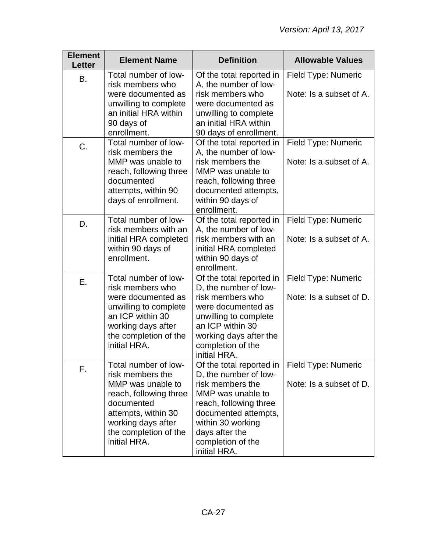| <b>Element</b><br><b>Letter</b> | <b>Element Name</b>                                                                                                                                                                         | <b>Definition</b>                                                                                                                                                                                                        | <b>Allowable Values</b>                        |
|---------------------------------|---------------------------------------------------------------------------------------------------------------------------------------------------------------------------------------------|--------------------------------------------------------------------------------------------------------------------------------------------------------------------------------------------------------------------------|------------------------------------------------|
| B.                              | Total number of low-<br>risk members who<br>were documented as<br>unwilling to complete<br>an initial HRA within<br>90 days of<br>enrollment.                                               | Of the total reported in<br>A, the number of low-<br>risk members who<br>were documented as<br>unwilling to complete<br>an initial HRA within<br>90 days of enrollment.                                                  | Field Type: Numeric<br>Note: Is a subset of A. |
| C.                              | Total number of low-<br>risk members the<br>MMP was unable to<br>reach, following three<br>documented<br>attempts, within 90<br>days of enrollment.                                         | Of the total reported in<br>A, the number of low-<br>risk members the<br>MMP was unable to<br>reach, following three<br>documented attempts,<br>within 90 days of<br>enrollment.                                         | Field Type: Numeric<br>Note: Is a subset of A. |
| D.                              | Total number of low-<br>risk members with an<br>initial HRA completed<br>within 90 days of<br>enrollment.                                                                                   | Of the total reported in<br>A, the number of low-<br>risk members with an<br>initial HRA completed<br>within 90 days of<br>enrollment.                                                                                   | Field Type: Numeric<br>Note: Is a subset of A. |
| Ε.                              | Total number of low-<br>risk members who<br>were documented as<br>unwilling to complete<br>an ICP within 30<br>working days after<br>the completion of the<br>initial HRA.                  | Of the total reported in<br>D, the number of low-<br>risk members who<br>were documented as<br>unwilling to complete<br>an ICP within 30<br>working days after the<br>completion of the<br>initial HRA.                  | Field Type: Numeric<br>Note: Is a subset of D. |
| F.                              | Total number of low-<br>risk members the<br>MMP was unable to<br>reach, following three<br>documented<br>attempts, within 30<br>working days after<br>the completion of the<br>initial HRA. | Of the total reported in<br>D, the number of low-<br>risk members the<br>MMP was unable to<br>reach, following three<br>documented attempts,<br>within 30 working<br>days after the<br>completion of the<br>initial HRA. | Field Type: Numeric<br>Note: Is a subset of D. |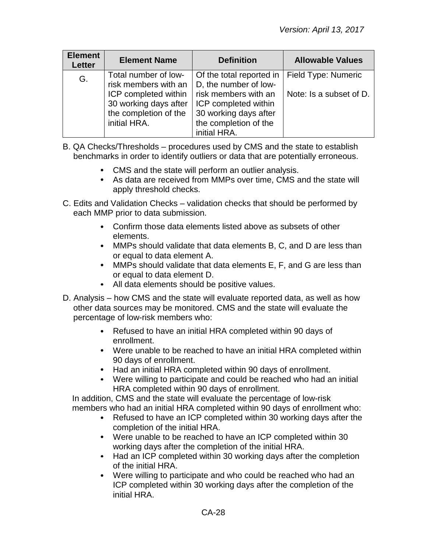| <b>Element</b><br><b>Letter</b> | <b>Element Name</b>                                                                                                                    | <b>Definition</b>                                                                                                                                                   | <b>Allowable Values</b>                        |
|---------------------------------|----------------------------------------------------------------------------------------------------------------------------------------|---------------------------------------------------------------------------------------------------------------------------------------------------------------------|------------------------------------------------|
| G.                              | Total number of low-<br>risk members with an<br>ICP completed within<br>30 working days after<br>the completion of the<br>initial HRA. | Of the total reported in<br>D, the number of low-<br>risk members with an<br>ICP completed within<br>30 working days after<br>the completion of the<br>initial HRA. | Field Type: Numeric<br>Note: Is a subset of D. |

B. QA Checks/Thresholds – procedures used by CMS and the state to establish benchmarks in order to identify outliers or data that are potentially erroneous.

- CMS and the state will perform an outlier analysis.
- As data are received from MMPs over time, CMS and the state will apply threshold checks.
- C. Edits and Validation Checks validation checks that should be performed by each MMP prior to data submission.
	- Confirm those data elements listed above as subsets of other elements.
	- MMPs should validate that data elements B, C, and D are less than or equal to data element A.
	- MMPs should validate that data elements E, F, and G are less than or equal to data element D.
	- All data elements should be positive values.
- D. Analysis how CMS and the state will evaluate reported data, as well as how other data sources may be monitored. CMS and the state will evaluate the percentage of low-risk members who:
	- Refused to have an initial HRA completed within 90 days of enrollment.
	- Were unable to be reached to have an initial HRA completed within 90 days of enrollment.
	- Had an initial HRA completed within 90 days of enrollment.
	- Were willing to participate and could be reached who had an initial HRA completed within 90 days of enrollment.

In addition, CMS and the state will evaluate the percentage of low-risk members who had an initial HRA completed within 90 days of enrollment who:

- Refused to have an ICP completed within 30 working days after the completion of the initial HRA.
- Were unable to be reached to have an ICP completed within 30 working days after the completion of the initial HRA.
- Had an ICP completed within 30 working days after the completion of the initial HRA.
- Were willing to participate and who could be reached who had an ICP completed within 30 working days after the completion of the initial HRA.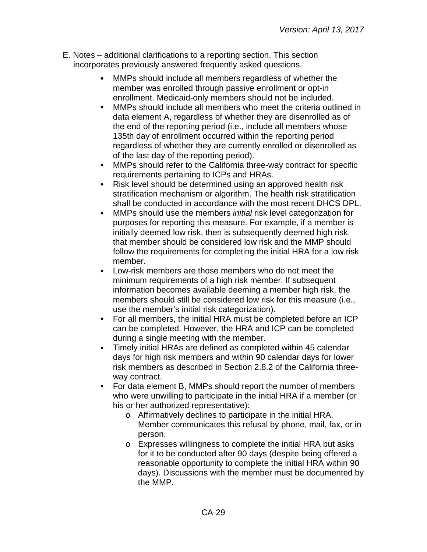- E. Notes additional clarifications to a reporting section. This section incorporates previously answered frequently asked questions.
	- MMPs should include all members regardless of whether the member was enrolled through passive enrollment or opt-in enrollment. Medicaid-only members should not be included.
	- $\bullet$ MMPs should include all members who meet the criteria outlined in data element A, regardless of whether they are disenrolled as of the end of the reporting period (i.e., include all members whose 135th day of enrollment occurred within the reporting period regardless of whether they are currently enrolled or disenrolled as of the last day of the reporting period).
	- MMPs should refer to the California three-way contract for specific  $\bullet$ requirements pertaining to ICPs and HRAs.
	- Risk level should be determined using an approved health risk  $\bullet$ stratification mechanism or algorithm. The health risk stratification shall be conducted in accordance with the most recent DHCS DPL.
	- MMPs should use the members *initial* risk level categorization for purposes for reporting this measure. For example, if a member is initially deemed low risk, then is subsequently deemed high risk, that member should be considered low risk and the MMP should follow the requirements for completing the initial HRA for a low risk member.
	- Low-risk members are those members who do not meet the minimum requirements of a high risk member. If subsequent information becomes available deeming a member high risk, the members should still be considered low risk for this measure (i.e., use the member's initial risk categorization).
	- For all members, the initial HRA must be completed before an ICP  $\bullet$ can be completed. However, the HRA and ICP can be completed during a single meeting with the member.
	- $\bullet$ Timely initial HRAs are defined as completed within 45 calendar days for high risk members and within 90 calendar days for lower risk members as described in Section 2.8.2 of the California threeway contract.
	- $\bullet$ For data element B, MMPs should report the number of members who were unwilling to participate in the initial HRA if a member (or his or her authorized representative):
		- o Affirmatively declines to participate in the initial HRA. Member communicates this refusal by phone, mail, fax, or in person.
		- o Expresses willingness to complete the initial HRA but asks for it to be conducted after 90 days (despite being offered a reasonable opportunity to complete the initial HRA within 90 days). Discussions with the member must be documented by the MMP.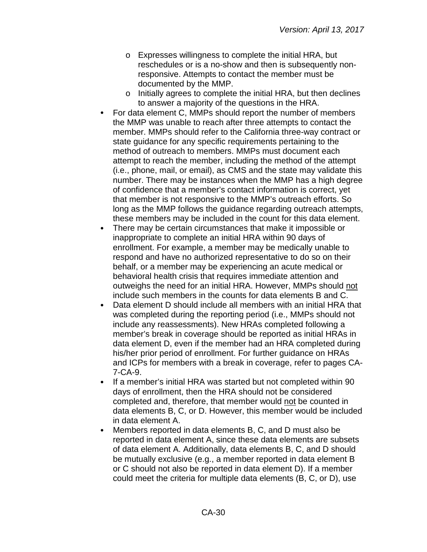- o Expresses willingness to complete the initial HRA, but reschedules or is a no-show and then is subsequently nonresponsive. Attempts to contact the member must be documented by the MMP.
- o Initially agrees to complete the initial HRA, but then declines to answer a majority of the questions in the HRA.
- For data element C, MMPs should report the number of members the MMP was unable to reach after three attempts to contact the member. MMPs should refer to the California three-way contract or state guidance for any specific requirements pertaining to the method of outreach to members. MMPs must document each attempt to reach the member, including the method of the attempt (i.e., phone, mail, or email), as CMS and the state may validate this number. There may be instances when the MMP has a high degree of confidence that a member's contact information is correct, yet that member is not responsive to the MMP's outreach efforts. So long as the MMP follows the guidance regarding outreach attempts, these members may be included in the count for this data element.
- There may be certain circumstances that make it impossible or inappropriate to complete an initial HRA within 90 days of enrollment. For example, a member may be medically unable to respond and have no authorized representative to do so on their behalf, or a member may be experiencing an acute medical or behavioral health crisis that requires immediate attention and outweighs the need for an initial HRA. However, MMPs should not include such members in the counts for data elements B and C.
- $\bullet$ Data element D should include all members with an initial HRA that was completed during the reporting period (i.e., MMPs should not include any reassessments). New HRAs completed following a member's break in coverage should be reported as initial HRAs in data element D, even if the member had an HRA completed during his/her prior period of enrollment. For further guidance on HRAs and ICPs for members with a break in coverage, refer to pages CA-7-CA-9.
- $\bullet$ If a member's initial HRA was started but not completed within 90 days of enrollment, then the HRA should not be considered completed and, therefore, that member would not be counted in data elements B, C, or D. However, this member would be included in data element A.
- Members reported in data elements B, C, and D must also be  $\bullet$ reported in data element A, since these data elements are subsets of data element A. Additionally, data elements B, C, and D should be mutually exclusive (e.g., a member reported in data element B or C should not also be reported in data element D). If a member could meet the criteria for multiple data elements (B, C, or D), use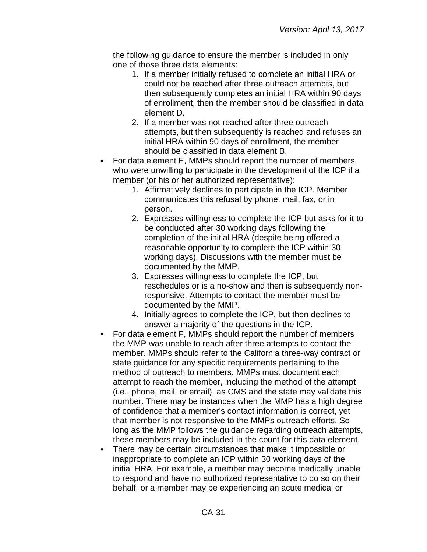the following guidance to ensure the member is included in only one of those three data elements:

- 1. If a member initially refused to complete an initial HRA or could not be reached after three outreach attempts, but then subsequently completes an initial HRA within 90 days of enrollment, then the member should be classified in data element D.
- 2. If a member was not reached after three outreach attempts, but then subsequently is reached and refuses an initial HRA within 90 days of enrollment, the member should be classified in data element B.
- For data element E, MMPs should report the number of members who were unwilling to participate in the development of the ICP if a member (or his or her authorized representative):
	- 1. Affirmatively declines to participate in the ICP. Member communicates this refusal by phone, mail, fax, or in person.
	- 2. Expresses willingness to complete the ICP but asks for it to be conducted after 30 working days following the completion of the initial HRA (despite being offered a reasonable opportunity to complete the ICP within 30 working days). Discussions with the member must be documented by the MMP.
	- 3. Expresses willingness to complete the ICP, but reschedules or is a no-show and then is subsequently nonresponsive. Attempts to contact the member must be documented by the MMP.
	- 4. Initially agrees to complete the ICP, but then declines to answer a majority of the questions in the ICP.
- For data element F, MMPs should report the number of members  $\bullet$ the MMP was unable to reach after three attempts to contact the member. MMPs should refer to the California three-way contract or state guidance for any specific requirements pertaining to the method of outreach to members. MMPs must document each attempt to reach the member, including the method of the attempt (i.e., phone, mail, or email), as CMS and the state may validate this number. There may be instances when the MMP has a high degree of confidence that a member's contact information is correct, yet that member is not responsive to the MMPs outreach efforts. So long as the MMP follows the guidance regarding outreach attempts, these members may be included in the count for this data element.
- There may be certain circumstances that make it impossible or inappropriate to complete an ICP within 30 working days of the initial HRA. For example, a member may become medically unable to respond and have no authorized representative to do so on their behalf, or a member may be experiencing an acute medical or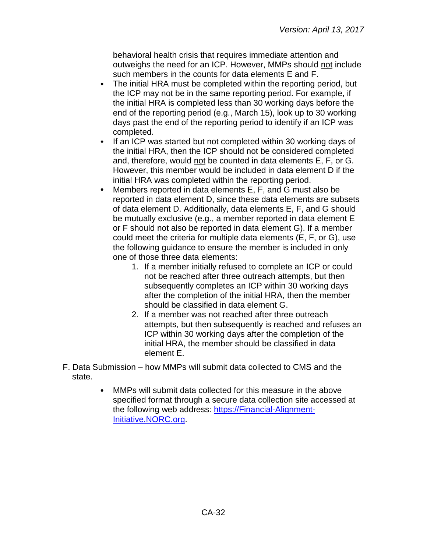behavioral health crisis that requires immediate attention and outweighs the need for an ICP. However, MMPs should not include such members in the counts for data elements E and F.

- $\bullet$ The initial HRA must be completed within the reporting period, but the ICP may not be in the same reporting period. For example, if the initial HRA is completed less than 30 working days before the end of the reporting period (e.g., March 15), look up to 30 working days past the end of the reporting period to identify if an ICP was completed.
- $\bullet$ If an ICP was started but not completed within 30 working days of the initial HRA, then the ICP should not be considered completed and, therefore, would not be counted in data elements E, F, or G. However, this member would be included in data element D if the initial HRA was completed within the reporting period.
- Members reported in data elements E, F, and G must also be  $\bullet$ reported in data element D, since these data elements are subsets of data element D. Additionally, data elements E, F, and G should be mutually exclusive (e.g., a member reported in data element E or F should not also be reported in data element G). If a member could meet the criteria for multiple data elements (E, F, or G), use the following guidance to ensure the member is included in only one of those three data elements:
	- 1. If a member initially refused to complete an ICP or could not be reached after three outreach attempts, but then subsequently completes an ICP within 30 working days after the completion of the initial HRA, then the member should be classified in data element G.
	- 2. If a member was not reached after three outreach attempts, but then subsequently is reached and refuses an ICP within 30 working days after the completion of the initial HRA, the member should be classified in data element E.
- F. Data Submission how MMPs will submit data collected to CMS and the state.
	- MMPs will submit data collected for this measure in the above specified format through a secure data collection site accessed at the following web address: [https://Financial-Alignment-](https://financial-alignment-initiative.norc.org/)[Initiative.NORC.org.](https://financial-alignment-initiative.norc.org/)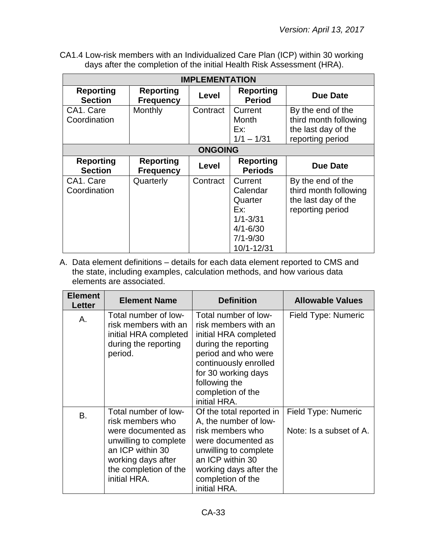CA1.4 Low-risk members with an Individualized Care Plan (ICP) within 30 working days after the completion of the initial Health Risk Assessment (HRA).

| <b>IMPLEMENTATION</b>              |                                      |          |                                                                                                     |                                                                                       |  |  |  |
|------------------------------------|--------------------------------------|----------|-----------------------------------------------------------------------------------------------------|---------------------------------------------------------------------------------------|--|--|--|
| <b>Reporting</b><br><b>Section</b> | <b>Reporting</b><br><b>Frequency</b> | Level    | <b>Reporting</b><br><b>Period</b>                                                                   | Due Date                                                                              |  |  |  |
| CA1. Care<br>Coordination          | Monthly                              | Contract | Current<br>Month<br>Ex:<br>$1/1 - 1/31$                                                             | By the end of the<br>third month following<br>the last day of the<br>reporting period |  |  |  |
| <b>ONGOING</b>                     |                                      |          |                                                                                                     |                                                                                       |  |  |  |
| <b>Reporting</b><br><b>Section</b> | <b>Reporting</b><br><b>Frequency</b> | Level    | <b>Reporting</b><br><b>Periods</b>                                                                  | Due Date                                                                              |  |  |  |
| CA1. Care<br>Coordination          | Quarterly                            | Contract | Current<br>Calendar<br>Quarter<br>Ex:<br>$1/1 - 3/31$<br>$4/1 - 6/30$<br>$7/1 - 9/30$<br>10/1-12/31 | By the end of the<br>third month following<br>the last day of the<br>reporting period |  |  |  |

A. Data element definitions – details for each data element reported to CMS and the state, including examples, calculation methods, and how various data elements are associated.

| <b>Element</b><br><b>Letter</b> | <b>Element Name</b>                                                                                                                                                        | <b>Definition</b>                                                                                                                                                                                                          | <b>Allowable Values</b>                        |
|---------------------------------|----------------------------------------------------------------------------------------------------------------------------------------------------------------------------|----------------------------------------------------------------------------------------------------------------------------------------------------------------------------------------------------------------------------|------------------------------------------------|
| Α.                              | Total number of low-<br>risk members with an<br>initial HRA completed<br>during the reporting<br>period.                                                                   | Total number of low-<br>risk members with an<br>initial HRA completed<br>during the reporting<br>period and who were<br>continuously enrolled<br>for 30 working days<br>following the<br>completion of the<br>initial HRA. | Field Type: Numeric                            |
| B.                              | Total number of low-<br>risk members who<br>were documented as<br>unwilling to complete<br>an ICP within 30<br>working days after<br>the completion of the<br>initial HRA. | Of the total reported in<br>A, the number of low-<br>risk members who<br>were documented as<br>unwilling to complete<br>an ICP within 30<br>working days after the<br>completion of the<br>initial HRA.                    | Field Type: Numeric<br>Note: Is a subset of A. |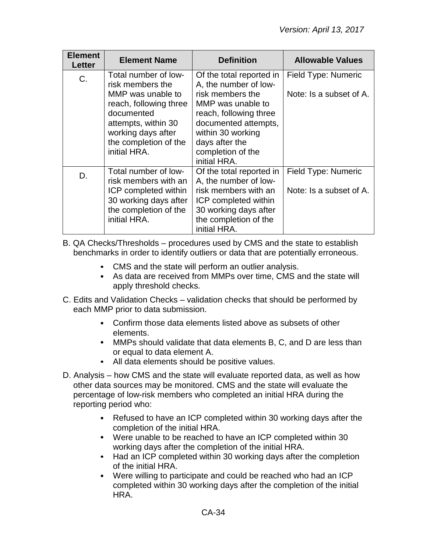| <b>Element</b><br>Letter | <b>Element Name</b>                                                                                                                                                                         | <b>Definition</b>                                                                                                                                                                                                        | <b>Allowable Values</b>                        |
|--------------------------|---------------------------------------------------------------------------------------------------------------------------------------------------------------------------------------------|--------------------------------------------------------------------------------------------------------------------------------------------------------------------------------------------------------------------------|------------------------------------------------|
| C.                       | Total number of low-<br>risk members the<br>MMP was unable to<br>reach, following three<br>documented<br>attempts, within 30<br>working days after<br>the completion of the<br>initial HRA. | Of the total reported in<br>A, the number of low-<br>risk members the<br>MMP was unable to<br>reach, following three<br>documented attempts,<br>within 30 working<br>days after the<br>completion of the<br>initial HRA. | Field Type: Numeric<br>Note: Is a subset of A. |
| D.                       | Total number of low-<br>risk members with an<br>ICP completed within<br>30 working days after<br>the completion of the<br>initial HRA.                                                      | Of the total reported in<br>A, the number of low-<br>risk members with an<br>ICP completed within<br>30 working days after<br>the completion of the<br>initial HRA.                                                      | Field Type: Numeric<br>Note: Is a subset of A. |

B. QA Checks/Thresholds – procedures used by CMS and the state to establish benchmarks in order to identify outliers or data that are potentially erroneous.

- CMS and the state will perform an outlier analysis.
- As data are received from MMPs over time, CMS and the state will apply threshold checks.
- C. Edits and Validation Checks validation checks that should be performed by each MMP prior to data submission.
	- Confirm those data elements listed above as subsets of other elements.
	- MMPs should validate that data elements B, C, and D are less than or equal to data element A.
	- All data elements should be positive values.
- D. Analysis how CMS and the state will evaluate reported data, as well as how other data sources may be monitored. CMS and the state will evaluate the percentage of low-risk members who completed an initial HRA during the reporting period who:
	- Refused to have an ICP completed within 30 working days after the completion of the initial HRA.
	- Were unable to be reached to have an ICP completed within 30 working days after the completion of the initial HRA.
	- Had an ICP completed within 30 working days after the completion  $\bullet$ of the initial HRA.
	- $\bullet$ Were willing to participate and could be reached who had an ICP completed within 30 working days after the completion of the initial HRA.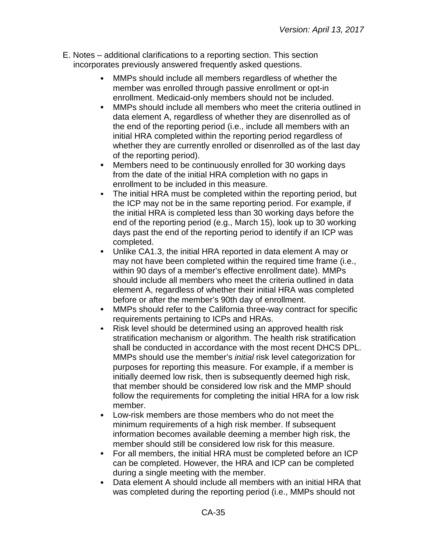- E. Notes additional clarifications to a reporting section. This section incorporates previously answered frequently asked questions.
	- MMPs should include all members regardless of whether the  $\bullet$ member was enrolled through passive enrollment or opt-in enrollment. Medicaid-only members should not be included.
	- $\bullet$ MMPs should include all members who meet the criteria outlined in data element A, regardless of whether they are disenrolled as of the end of the reporting period (i.e., include all members with an initial HRA completed within the reporting period regardless of whether they are currently enrolled or disenrolled as of the last day of the reporting period).
	- Members need to be continuously enrolled for 30 working days  $\bullet$ from the date of the initial HRA completion with no gaps in enrollment to be included in this measure.
	- $\bullet$ The initial HRA must be completed within the reporting period, but the ICP may not be in the same reporting period. For example, if the initial HRA is completed less than 30 working days before the end of the reporting period (e.g., March 15), look up to 30 working days past the end of the reporting period to identify if an ICP was completed.
	- $\bullet$ Unlike CA1.3, the initial HRA reported in data element A may or may not have been completed within the required time frame (i.e., within 90 days of a member's effective enrollment date). MMPs should include all members who meet the criteria outlined in data element A, regardless of whether their initial HRA was completed before or after the member's 90th day of enrollment.
	- MMPs should refer to the California three-way contract for specific requirements pertaining to ICPs and HRAs.
	- Risk level should be determined using an approved health risk  $\bullet$ stratification mechanism or algorithm. The health risk stratification shall be conducted in accordance with the most recent DHCS DPL. MMPs should use the member's *initial* risk level categorization for purposes for reporting this measure. For example, if a member is initially deemed low risk, then is subsequently deemed high risk, that member should be considered low risk and the MMP should follow the requirements for completing the initial HRA for a low risk member.
	- $\bullet$ Low-risk members are those members who do not meet the minimum requirements of a high risk member. If subsequent information becomes available deeming a member high risk, the member should still be considered low risk for this measure.
	- For all members, the initial HRA must be completed before an ICP  $\bullet$ can be completed. However, the HRA and ICP can be completed during a single meeting with the member.
	- Data element A should include all members with an initial HRA that  $\bullet$ was completed during the reporting period (i.e., MMPs should not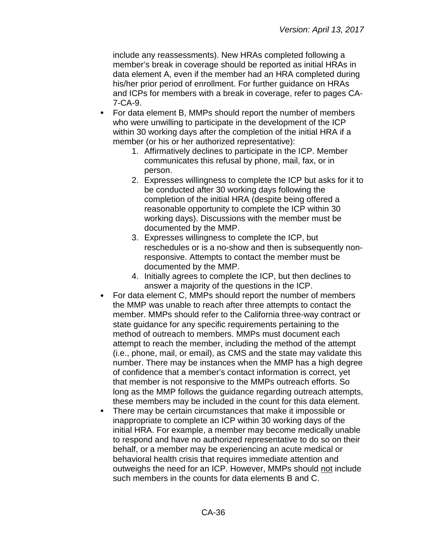include any reassessments). New HRAs completed following a member's break in coverage should be reported as initial HRAs in data element A, even if the member had an HRA completed during his/her prior period of enrollment. For further guidance on HRAs and ICPs for members with a break in coverage, refer to pages CA-7-CA-9.

- $\bullet$ For data element B, MMPs should report the number of members who were unwilling to participate in the development of the ICP within 30 working days after the completion of the initial HRA if a member (or his or her authorized representative):
	- 1. Affirmatively declines to participate in the ICP. Member communicates this refusal by phone, mail, fax, or in person.
	- 2. Expresses willingness to complete the ICP but asks for it to be conducted after 30 working days following the completion of the initial HRA (despite being offered a reasonable opportunity to complete the ICP within 30 working days). Discussions with the member must be documented by the MMP.
	- 3. Expresses willingness to complete the ICP, but reschedules or is a no-show and then is subsequently nonresponsive. Attempts to contact the member must be documented by the MMP.
	- 4. Initially agrees to complete the ICP, but then declines to answer a majority of the questions in the ICP.
- For data element C, MMPs should report the number of members the MMP was unable to reach after three attempts to contact the member. MMPs should refer to the California three-way contract or state guidance for any specific requirements pertaining to the method of outreach to members. MMPs must document each attempt to reach the member, including the method of the attempt (i.e., phone, mail, or email), as CMS and the state may validate this number. There may be instances when the MMP has a high degree of confidence that a member's contact information is correct, yet that member is not responsive to the MMPs outreach efforts. So long as the MMP follows the guidance regarding outreach attempts, these members may be included in the count for this data element.
- There may be certain circumstances that make it impossible or inappropriate to complete an ICP within 30 working days of the initial HRA. For example, a member may become medically unable to respond and have no authorized representative to do so on their behalf, or a member may be experiencing an acute medical or behavioral health crisis that requires immediate attention and outweighs the need for an ICP. However, MMPs should not include such members in the counts for data elements B and C.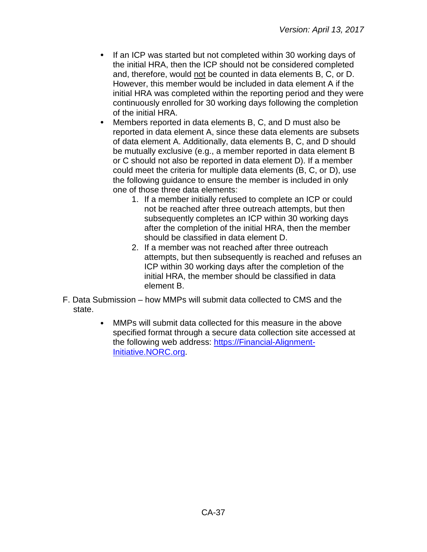- If an ICP was started but not completed within 30 working days of the initial HRA, then the ICP should not be considered completed and, therefore, would not be counted in data elements B, C, or D. However, this member would be included in data element A if the initial HRA was completed within the reporting period and they were continuously enrolled for 30 working days following the completion of the initial HRA.
- Members reported in data elements B, C, and D must also be reported in data element A, since these data elements are subsets of data element A. Additionally, data elements B, C, and D should be mutually exclusive (e.g., a member reported in data element B or C should not also be reported in data element D). If a member could meet the criteria for multiple data elements (B, C, or D), use the following guidance to ensure the member is included in only one of those three data elements:
	- 1. If a member initially refused to complete an ICP or could not be reached after three outreach attempts, but then subsequently completes an ICP within 30 working days after the completion of the initial HRA, then the member should be classified in data element D.
	- 2. If a member was not reached after three outreach attempts, but then subsequently is reached and refuses an ICP within 30 working days after the completion of the initial HRA, the member should be classified in data element B.
- F. Data Submission how MMPs will submit data collected to CMS and the state.
	- MMPs will submit data collected for this measure in the above  $\bullet$ specified format through a secure data collection site accessed at the following web address: [https://Financial-Alignment-](https://financial-alignment-initiative.norc.org/)[Initiative.NORC.org.](https://financial-alignment-initiative.norc.org/)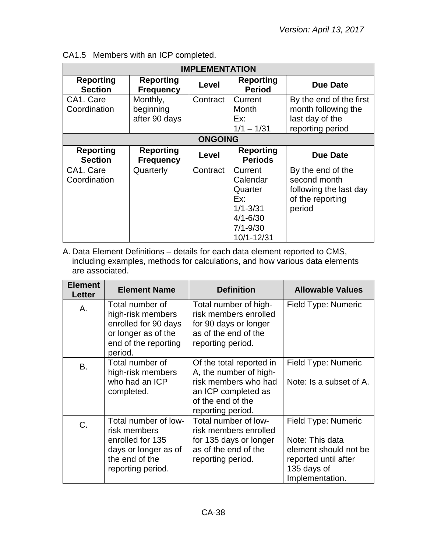| <b>IMPLEMENTATION</b>              |                                        |                |                                                                                                     |                                                                                           |
|------------------------------------|----------------------------------------|----------------|-----------------------------------------------------------------------------------------------------|-------------------------------------------------------------------------------------------|
| <b>Reporting</b><br><b>Section</b> | <b>Reporting</b><br><b>Frequency</b>   | Level          | <b>Reporting</b><br><b>Period</b>                                                                   | Due Date                                                                                  |
| CA1. Care<br>Coordination          | Monthly,<br>beginning<br>after 90 days | Contract       | Current<br>Month<br>Ex:<br>$1/1 - 1/31$                                                             | By the end of the first<br>month following the<br>last day of the<br>reporting period     |
|                                    |                                        | <b>ONGOING</b> |                                                                                                     |                                                                                           |
| <b>Reporting</b><br><b>Section</b> | <b>Reporting</b><br><b>Frequency</b>   | Level          | <b>Reporting</b><br><b>Periods</b>                                                                  | Due Date                                                                                  |
| CA1. Care<br>Coordination          | Quarterly                              | Contract       | Current<br>Calendar<br>Quarter<br>Fx:<br>$1/1 - 3/31$<br>$4/1 - 6/30$<br>$7/1 - 9/30$<br>10/1-12/31 | By the end of the<br>second month<br>following the last day<br>of the reporting<br>period |

|  |  |  | CA1.5 Members with an ICP completed. |  |
|--|--|--|--------------------------------------|--|
|--|--|--|--------------------------------------|--|

A. Data Element Definitions – details for each data element reported to CMS, including examples, methods for calculations, and how various data elements are associated.

| <b>Element</b><br>Letter | <b>Element Name</b>                                                                                                     | <b>Definition</b>                                                                                                                           | <b>Allowable Values</b>                                                                                                   |
|--------------------------|-------------------------------------------------------------------------------------------------------------------------|---------------------------------------------------------------------------------------------------------------------------------------------|---------------------------------------------------------------------------------------------------------------------------|
| Α.                       | Total number of<br>high-risk members<br>enrolled for 90 days<br>or longer as of the<br>end of the reporting<br>period.  | Total number of high-<br>risk members enrolled<br>for 90 days or longer<br>as of the end of the<br>reporting period.                        | Field Type: Numeric                                                                                                       |
| <b>B.</b>                | Total number of<br>high-risk members<br>who had an ICP<br>completed.                                                    | Of the total reported in<br>A, the number of high-<br>risk members who had<br>an ICP completed as<br>of the end of the<br>reporting period. | Field Type: Numeric<br>Note: Is a subset of A.                                                                            |
| C.                       | Total number of low-<br>risk members<br>enrolled for 135<br>days or longer as of<br>the end of the<br>reporting period. | Total number of low-<br>risk members enrolled<br>for 135 days or longer<br>as of the end of the<br>reporting period.                        | Field Type: Numeric<br>Note: This data<br>element should not be<br>reported until after<br>135 days of<br>Implementation. |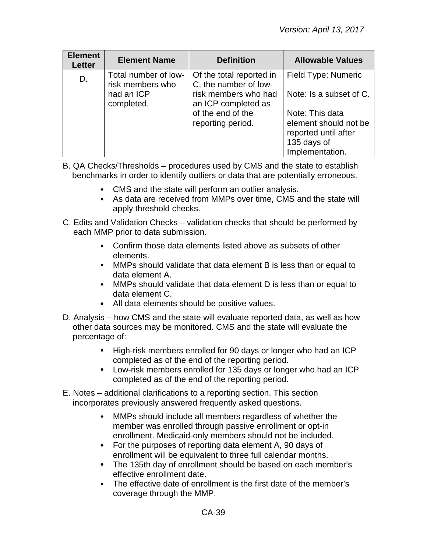| <b>Element</b><br><b>Letter</b> | <b>Element Name</b>                      | <b>Definition</b>                                 | <b>Allowable Values</b>                                                                            |
|---------------------------------|------------------------------------------|---------------------------------------------------|----------------------------------------------------------------------------------------------------|
| D.                              | Total number of low-<br>risk members who | Of the total reported in<br>C, the number of low- | Field Type: Numeric                                                                                |
|                                 | had an ICP<br>completed.                 | risk members who had<br>an ICP completed as       | Note: Is a subset of C.                                                                            |
|                                 |                                          | of the end of the<br>reporting period.            | Note: This data<br>element should not be<br>reported until after<br>135 days of<br>Implementation. |

- B. QA Checks/Thresholds procedures used by CMS and the state to establish benchmarks in order to identify outliers or data that are potentially erroneous.
	- CMS and the state will perform an outlier analysis.
	- As data are received from MMPs over time, CMS and the state will apply threshold checks.
- C. Edits and Validation Checks validation checks that should be performed by each MMP prior to data submission.
	- Confirm those data elements listed above as subsets of other elements.
	- MMPs should validate that data element B is less than or equal to data element A.
	- MMPs should validate that data element D is less than or equal to data element C.
	- All data elements should be positive values.
- D. Analysis how CMS and the state will evaluate reported data, as well as how other data sources may be monitored. CMS and the state will evaluate the percentage of:
	- $\bullet$ High-risk members enrolled for 90 days or longer who had an ICP completed as of the end of the reporting period.
	- Low-risk members enrolled for 135 days or longer who had an ICP completed as of the end of the reporting period.
- E. Notes additional clarifications to a reporting section. This section incorporates previously answered frequently asked questions.
	- MMPs should include all members regardless of whether the  $\bullet$ member was enrolled through passive enrollment or opt-in enrollment. Medicaid-only members should not be included.
	- For the purposes of reporting data element A, 90 days of enrollment will be equivalent to three full calendar months.
	- The 135th day of enrollment should be based on each member's effective enrollment date.
	- The effective date of enrollment is the first date of the member's coverage through the MMP.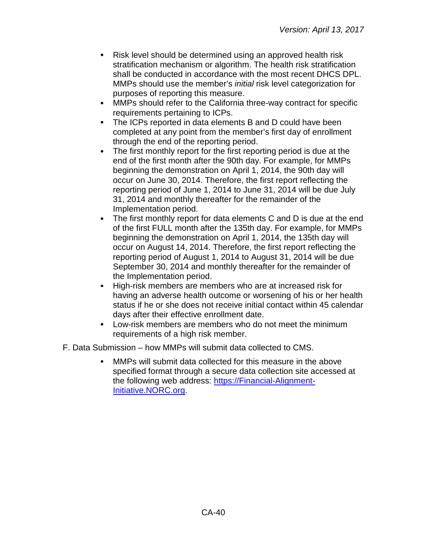- Risk level should be determined using an approved health risk stratification mechanism or algorithm. The health risk stratification shall be conducted in accordance with the most recent DHCS DPL. MMPs should use the member's *initial* risk level categorization for purposes of reporting this measure.
- $\bullet$ MMPs should refer to the California three-way contract for specific requirements pertaining to ICPs.
- $\bullet$ The ICPs reported in data elements B and D could have been completed at any point from the member's first day of enrollment through the end of the reporting period.
- The first monthly report for the first reporting period is due at the end of the first month after the 90th day. For example, for MMPs beginning the demonstration on April 1, 2014, the 90th day will occur on June 30, 2014. Therefore, the first report reflecting the reporting period of June 1, 2014 to June 31, 2014 will be due July 31, 2014 and monthly thereafter for the remainder of the Implementation period.
- The first monthly report for data elements C and D is due at the end  $\bullet$ of the first FULL month after the 135th day. For example, for MMPs beginning the demonstration on April 1, 2014, the 135th day will occur on August 14, 2014. Therefore, the first report reflecting the reporting period of August 1, 2014 to August 31, 2014 will be due September 30, 2014 and monthly thereafter for the remainder of the Implementation period.
- High-risk members are members who are at increased risk for  $\bullet$ having an adverse health outcome or worsening of his or her health status if he or she does not receive initial contact within 45 calendar days after their effective enrollment date.
- $\bullet$ Low-risk members are members who do not meet the minimum requirements of a high risk member.

F. Data Submission – how MMPs will submit data collected to CMS.

MMPs will submit data collected for this measure in the above specified format through a secure data collection site accessed at the following web address: [https://Financial-Alignment-](https://financial-alignment-initiative.norc.org/)[Initiative.NORC.org.](https://financial-alignment-initiative.norc.org/)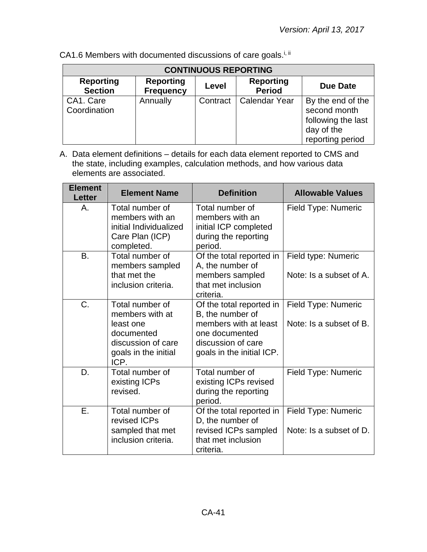| <b>CONTINUOUS REPORTING</b>        |                                      |          |                                   |                                                                                           |  |
|------------------------------------|--------------------------------------|----------|-----------------------------------|-------------------------------------------------------------------------------------------|--|
| <b>Reporting</b><br><b>Section</b> | <b>Reporting</b><br><b>Frequency</b> | Level    | <b>Reporting</b><br><b>Period</b> | <b>Due Date</b>                                                                           |  |
| CA1. Care<br>Coordination          | Annually                             | Contract | <b>Calendar Year</b>              | By the end of the<br>second month<br>following the last<br>day of the<br>reporting period |  |

CA1.6 Members with documented discussions of care goals.<sup>i, ii</sup>

| <b>Element</b><br><b>Letter</b> | <b>Element Name</b>                                                                                                 | <b>Definition</b>                                                                                                                          | <b>Allowable Values</b>                        |
|---------------------------------|---------------------------------------------------------------------------------------------------------------------|--------------------------------------------------------------------------------------------------------------------------------------------|------------------------------------------------|
| A.                              | Total number of<br>members with an<br>initial Individualized<br>Care Plan (ICP)<br>completed.                       | Total number of<br>members with an<br>initial ICP completed<br>during the reporting<br>period.                                             | Field Type: Numeric                            |
| <b>B.</b>                       | Total number of<br>members sampled<br>that met the<br>inclusion criteria.                                           | Of the total reported in<br>A, the number of<br>members sampled<br>that met inclusion<br>criteria.                                         | Field type: Numeric<br>Note: Is a subset of A. |
| $C_{\cdot}$                     | Total number of<br>members with at<br>least one<br>documented<br>discussion of care<br>goals in the initial<br>ICP. | Of the total reported in<br>B, the number of<br>members with at least<br>one documented<br>discussion of care<br>goals in the initial ICP. | Field Type: Numeric<br>Note: Is a subset of B. |
| D.                              | Total number of<br>existing ICPs<br>revised.                                                                        | Total number of<br>existing ICPs revised<br>during the reporting<br>period.                                                                | Field Type: Numeric                            |
| Ε.                              | Total number of<br>revised ICPs<br>sampled that met<br>inclusion criteria.                                          | Of the total reported in<br>D, the number of<br>revised ICPs sampled<br>that met inclusion<br>criteria.                                    | Field Type: Numeric<br>Note: Is a subset of D. |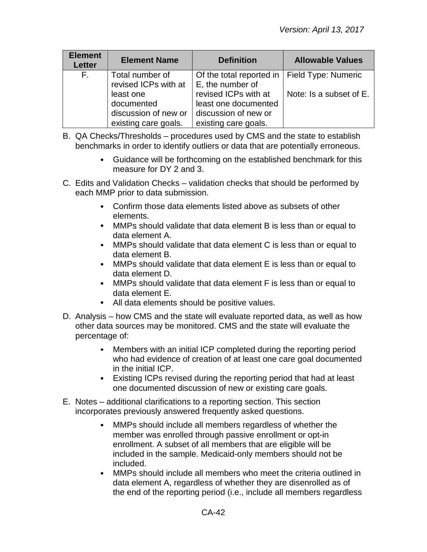| <b>Element</b><br><b>Letter</b> | <b>Element Name</b>                                                     | <b>Definition</b>                                                                            | <b>Allowable Values</b> |
|---------------------------------|-------------------------------------------------------------------------|----------------------------------------------------------------------------------------------|-------------------------|
| E.                              | Total number of<br>revised ICPs with at                                 | Of the total reported in<br>E, the number of                                                 | Field Type: Numeric     |
|                                 | least one<br>documented<br>discussion of new or<br>existing care goals. | revised ICPs with at<br>least one documented<br>discussion of new or<br>existing care goals. | Note: Is a subset of E. |

- B. QA Checks/Thresholds procedures used by CMS and the state to establish benchmarks in order to identify outliers or data that are potentially erroneous.
	- Guidance will be forthcoming on the established benchmark for this measure for DY 2 and 3.
- C. Edits and Validation Checks validation checks that should be performed by each MMP prior to data submission.
	- Confirm those data elements listed above as subsets of other elements.
	- MMPs should validate that data element B is less than or equal to data element A.
	- $\bullet$ MMPs should validate that data element C is less than or equal to data element B.
	- MMPs should validate that data element E is less than or equal to data element D.
	- MMPs should validate that data element F is less than or equal to data element E.
	- All data elements should be positive values.
- D. Analysis how CMS and the state will evaluate reported data, as well as how other data sources may be monitored. CMS and the state will evaluate the percentage of:
	- Members with an initial ICP completed during the reporting period  $\bullet$ who had evidence of creation of at least one care goal documented in the initial ICP.
	- Existing ICPs revised during the reporting period that had at least one documented discussion of new or existing care goals.
- E. Notes additional clarifications to a reporting section. This section incorporates previously answered frequently asked questions.
	- MMPs should include all members regardless of whether the  $\bullet$ member was enrolled through passive enrollment or opt-in enrollment. A subset of all members that are eligible will be included in the sample. Medicaid-only members should not be included.
	- $\bullet$ MMPs should include all members who meet the criteria outlined in data element A, regardless of whether they are disenrolled as of the end of the reporting period (i.e., include all members regardless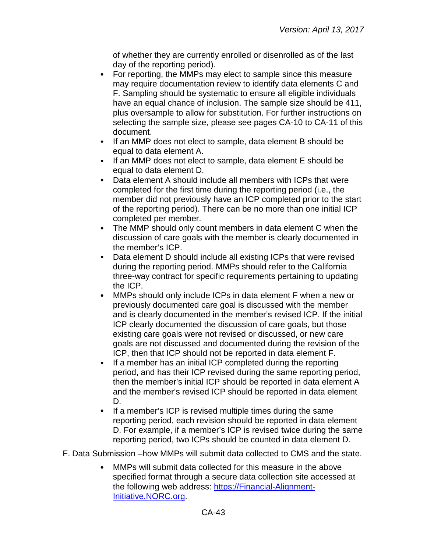of whether they are currently enrolled or disenrolled as of the last day of the reporting period).

- For reporting, the MMPs may elect to sample since this measure  $\bullet$ may require documentation review to identify data elements C and F. Sampling should be systematic to ensure all eligible individuals have an equal chance of inclusion. The sample size should be 411, plus oversample to allow for substitution. For further instructions on selecting the sample size, please see pages CA-10 to CA-11 of this document.
- If an MMP does not elect to sample, data element B should be  $\bullet$ equal to data element A.
- If an MMP does not elect to sample, data element E should be  $\bullet$ equal to data element D.
- $\bullet$ Data element A should include all members with ICPs that were completed for the first time during the reporting period (i.e., the member did not previously have an ICP completed prior to the start of the reporting period). There can be no more than one initial ICP completed per member.
- $\bullet$ The MMP should only count members in data element C when the discussion of care goals with the member is clearly documented in the member's ICP.
- $\bullet$ Data element D should include all existing ICPs that were revised during the reporting period. MMPs should refer to the California three-way contract for specific requirements pertaining to updating the ICP.
- MMPs should only include ICPs in data element F when a new or previously documented care goal is discussed with the member and is clearly documented in the member's revised ICP. If the initial ICP clearly documented the discussion of care goals, but those existing care goals were not revised or discussed, or new care goals are not discussed and documented during the revision of the ICP, then that ICP should not be reported in data element F.
- $\bullet$ If a member has an initial ICP completed during the reporting period, and has their ICP revised during the same reporting period, then the member's initial ICP should be reported in data element A and the member's revised ICP should be reported in data element D.
- $\bullet$ If a member's ICP is revised multiple times during the same reporting period, each revision should be reported in data element D. For example, if a member's ICP is revised twice during the same reporting period, two ICPs should be counted in data element D.

F. Data Submission –how MMPs will submit data collected to CMS and the state.

MMPs will submit data collected for this measure in the above specified format through a secure data collection site accessed at the following web address: [https://Financial-Alignment-](https://financial-alignment-initiative.norc.org/)[Initiative.NORC.org.](https://financial-alignment-initiative.norc.org/)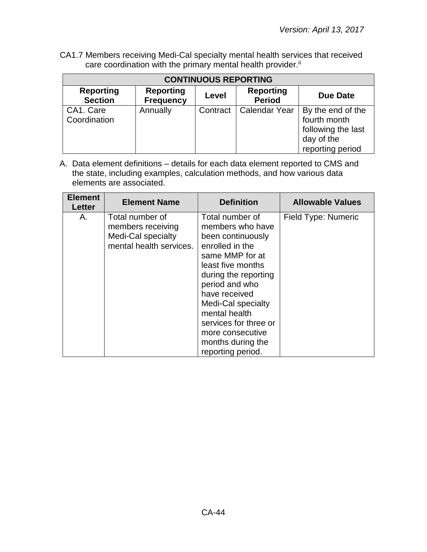CA1.7 Members receiving Medi-Cal specialty mental health services that received care coordination with the primary mental health provider.<sup>ii</sup>

| <b>CONTINUOUS REPORTING</b>        |                                      |          |                                   |                                                                                           |  |
|------------------------------------|--------------------------------------|----------|-----------------------------------|-------------------------------------------------------------------------------------------|--|
| <b>Reporting</b><br><b>Section</b> | <b>Reporting</b><br><b>Frequency</b> | Level    | <b>Reporting</b><br><b>Period</b> | <b>Due Date</b>                                                                           |  |
| CA1. Care<br>Coordination          | Annually                             | Contract | Calendar Year                     | By the end of the<br>fourth month<br>following the last<br>day of the<br>reporting period |  |

| <b>Element</b><br><b>Letter</b> | <b>Element Name</b>                                                                   | <b>Definition</b>                                                                                                                                                                                                                                                                                            | <b>Allowable Values</b> |
|---------------------------------|---------------------------------------------------------------------------------------|--------------------------------------------------------------------------------------------------------------------------------------------------------------------------------------------------------------------------------------------------------------------------------------------------------------|-------------------------|
| Α.                              | Total number of<br>members receiving<br>Medi-Cal specialty<br>mental health services. | Total number of<br>members who have<br>been continuously<br>enrolled in the<br>same MMP for at<br>least five months<br>during the reporting<br>period and who<br>have received<br>Medi-Cal specialty<br>mental health<br>services for three or<br>more consecutive<br>months during the<br>reporting period. | Field Type: Numeric     |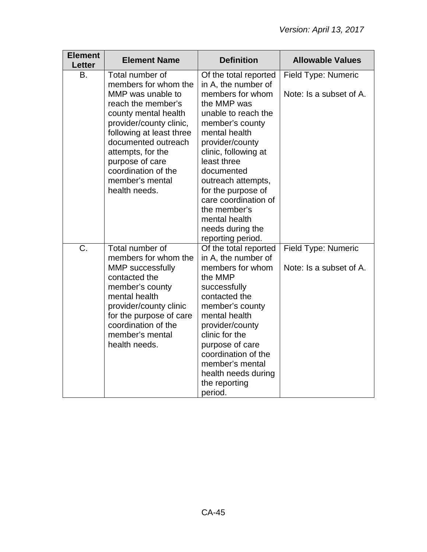| <b>Element</b><br><b>Letter</b> | <b>Element Name</b>                                                                                                                                                                                                                                                                         | <b>Definition</b>                                                                                                                                                                                                                                                                                                                                                | <b>Allowable Values</b>                        |
|---------------------------------|---------------------------------------------------------------------------------------------------------------------------------------------------------------------------------------------------------------------------------------------------------------------------------------------|------------------------------------------------------------------------------------------------------------------------------------------------------------------------------------------------------------------------------------------------------------------------------------------------------------------------------------------------------------------|------------------------------------------------|
| В.                              | Total number of<br>members for whom the<br>MMP was unable to<br>reach the member's<br>county mental health<br>provider/county clinic,<br>following at least three<br>documented outreach<br>attempts, for the<br>purpose of care<br>coordination of the<br>member's mental<br>health needs. | Of the total reported<br>in A, the number of<br>members for whom<br>the MMP was<br>unable to reach the<br>member's county<br>mental health<br>provider/county<br>clinic, following at<br>least three<br>documented<br>outreach attempts,<br>for the purpose of<br>care coordination of<br>the member's<br>mental health<br>needs during the<br>reporting period. | Field Type: Numeric<br>Note: Is a subset of A. |
| C.                              | Total number of<br>members for whom the<br><b>MMP</b> successfully<br>contacted the<br>member's county<br>mental health<br>provider/county clinic<br>for the purpose of care<br>coordination of the<br>member's mental<br>health needs.                                                     | Of the total reported<br>in A, the number of<br>members for whom<br>the MMP<br>successfully<br>contacted the<br>member's county<br>mental health<br>provider/county<br>clinic for the<br>purpose of care<br>coordination of the<br>member's mental<br>health needs during<br>the reporting<br>period.                                                            | Field Type: Numeric<br>Note: Is a subset of A. |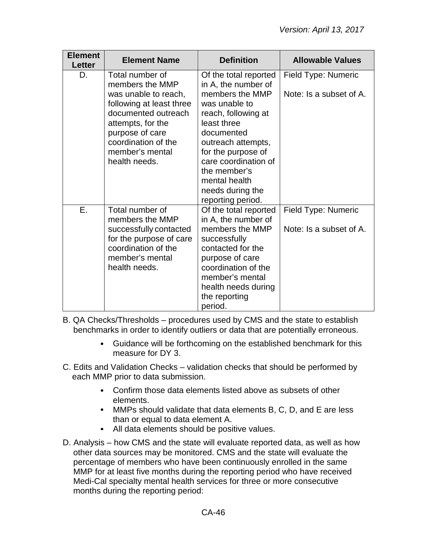| <b>Element</b><br><b>Letter</b> | <b>Element Name</b>                                                                                                                                                                                              | <b>Definition</b>                                                                                                                                                                                                                                                                  | <b>Allowable Values</b>                        |
|---------------------------------|------------------------------------------------------------------------------------------------------------------------------------------------------------------------------------------------------------------|------------------------------------------------------------------------------------------------------------------------------------------------------------------------------------------------------------------------------------------------------------------------------------|------------------------------------------------|
| D.                              | Total number of<br>members the MMP<br>was unable to reach,<br>following at least three<br>documented outreach<br>attempts, for the<br>purpose of care<br>coordination of the<br>member's mental<br>health needs. | Of the total reported<br>in A, the number of<br>members the MMP<br>was unable to<br>reach, following at<br>least three<br>documented<br>outreach attempts,<br>for the purpose of<br>care coordination of<br>the member's<br>mental health<br>needs during the<br>reporting period. | Field Type: Numeric<br>Note: Is a subset of A. |
| Ε.                              | Total number of<br>members the MMP<br>successfully contacted<br>for the purpose of care<br>coordination of the<br>member's mental<br>health needs.                                                               | Of the total reported<br>in A, the number of<br>members the MMP<br>successfully<br>contacted for the<br>purpose of care<br>coordination of the<br>member's mental<br>health needs during<br>the reporting<br>period.                                                               | Field Type: Numeric<br>Note: Is a subset of A. |

B. QA Checks/Thresholds – procedures used by CMS and the state to establish benchmarks in order to identify outliers or data that are potentially erroneous.

- $\bullet$ Guidance will be forthcoming on the established benchmark for this measure for DY 3.
- C. Edits and Validation Checks validation checks that should be performed by each MMP prior to data submission.
	- Confirm those data elements listed above as subsets of other elements.
	- MMPs should validate that data elements B, C, D, and E are less than or equal to data element A.
	- All data elements should be positive values.
- D. Analysis how CMS and the state will evaluate reported data, as well as how other data sources may be monitored. CMS and the state will evaluate the percentage of members who have been continuously enrolled in the same MMP for at least five months during the reporting period who have received Medi-Cal specialty mental health services for three or more consecutive months during the reporting period: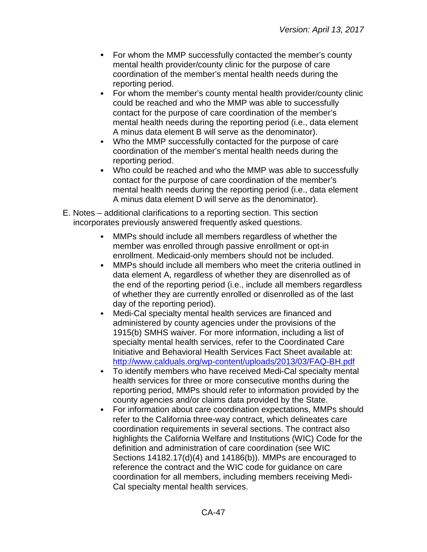- For whom the MMP successfully contacted the member's county mental health provider/county clinic for the purpose of care coordination of the member's mental health needs during the reporting period.
- For whom the member's county mental health provider/county clinic  $\bullet$ could be reached and who the MMP was able to successfully contact for the purpose of care coordination of the member's mental health needs during the reporting period (i.e., data element A minus data element B will serve as the denominator).
- Who the MMP successfully contacted for the purpose of care coordination of the member's mental health needs during the reporting period.
- $\bullet$ Who could be reached and who the MMP was able to successfully contact for the purpose of care coordination of the member's mental health needs during the reporting period (i.e., data element A minus data element D will serve as the denominator).
- E. Notes additional clarifications to a reporting section. This section incorporates previously answered frequently asked questions.
	- $\bullet$ MMPs should include all members regardless of whether the member was enrolled through passive enrollment or opt-in enrollment. Medicaid-only members should not be included.
	- MMPs should include all members who meet the criteria outlined in  $\bullet$ data element A, regardless of whether they are disenrolled as of the end of the reporting period (i.e., include all members regardless of whether they are currently enrolled or disenrolled as of the last day of the reporting period).
	- Medi-Cal specialty mental health services are financed and  $\bullet$ administered by county agencies under the provisions of the 1915(b) SMHS waiver. For more information, including a list of specialty mental health services, refer to the Coordinated Care Initiative and Behavioral Health Services Fact Sheet available at: <http://www.calduals.org/wp-content/uploads/2013/03/FAQ-BH.pdf>
	- To identify members who have received Medi-Cal specialty mental  $\bullet$ health services for three or more consecutive months during the reporting period, MMPs should refer to information provided by the county agencies and/or claims data provided by the State.
	- For information about care coordination expectations, MMPs should  $\bullet$ refer to the California three-way contract, which delineates care coordination requirements in several sections. The contract also highlights the California Welfare and Institutions (WIC) Code for the definition and administration of care coordination (see WIC Sections 14182.17(d)(4) and 14186(b)). MMPs are encouraged to reference the contract and the WIC code for guidance on care coordination for all members, including members receiving Medi-Cal specialty mental health services.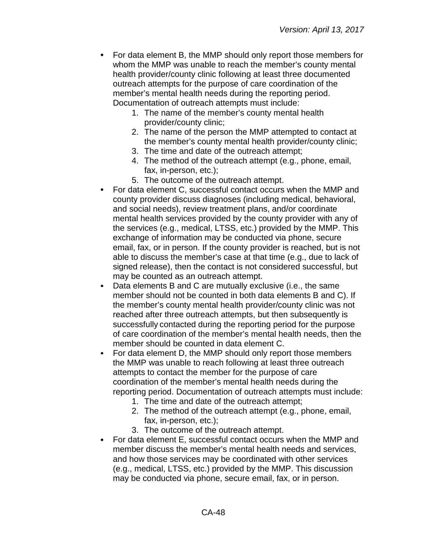- For data element B, the MMP should only report those members for whom the MMP was unable to reach the member's county mental health provider/county clinic following at least three documented outreach attempts for the purpose of care coordination of the member's mental health needs during the reporting period. Documentation of outreach attempts must include:
	- 1. The name of the member's county mental health provider/county clinic;
	- 2. The name of the person the MMP attempted to contact at the member's county mental health provider/county clinic;
	- 3. The time and date of the outreach attempt;
	- 4. The method of the outreach attempt (e.g., phone, email, fax, in-person, etc.);
	- 5. The outcome of the outreach attempt.
- For data element C, successful contact occurs when the MMP and county provider discuss diagnoses (including medical, behavioral, and social needs), review treatment plans, and/or coordinate mental health services provided by the county provider with any of the services (e.g., medical, LTSS, etc.) provided by the MMP. This exchange of information may be conducted via phone, secure email, fax, or in person. If the county provider is reached, but is not able to discuss the member's case at that time (e.g., due to lack of signed release), then the contact is not considered successful, but may be counted as an outreach attempt.
- Data elements B and C are mutually exclusive (i.e., the same member should not be counted in both data elements B and C). If the member's county mental health provider/county clinic was not reached after three outreach attempts, but then subsequently is successfully contacted during the reporting period for the purpose of care coordination of the member's mental health needs, then the member should be counted in data element C.
- For data element D, the MMP should only report those members the MMP was unable to reach following at least three outreach attempts to contact the member for the purpose of care coordination of the member's mental health needs during the reporting period. Documentation of outreach attempts must include:
	- 1. The time and date of the outreach attempt;
	- 2. The method of the outreach attempt (e.g., phone, email, fax, in-person, etc.);
	- 3. The outcome of the outreach attempt.
- For data element E, successful contact occurs when the MMP and member discuss the member's mental health needs and services, and how those services may be coordinated with other services (e.g., medical, LTSS, etc.) provided by the MMP. This discussion may be conducted via phone, secure email, fax, or in person.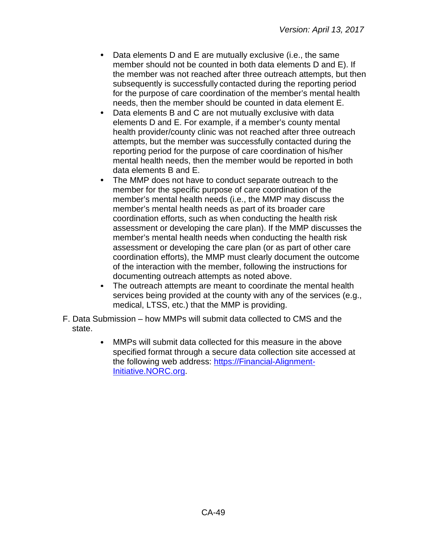- Data elements D and E are mutually exclusive (i.e., the same member should not be counted in both data elements D and E). If the member was not reached after three outreach attempts, but then subsequently is successfully contacted during the reporting period for the purpose of care coordination of the member's mental health needs, then the member should be counted in data element E.
- $\bullet$ Data elements B and C are not mutually exclusive with data elements D and E. For example, if a member's county mental health provider/county clinic was not reached after three outreach attempts, but the member was successfully contacted during the reporting period for the purpose of care coordination of his/her mental health needs, then the member would be reported in both data elements B and E.
- $\bullet$ The MMP does not have to conduct separate outreach to the member for the specific purpose of care coordination of the member's mental health needs (i.e., the MMP may discuss the member's mental health needs as part of its broader care coordination efforts, such as when conducting the health risk assessment or developing the care plan). If the MMP discusses the member's mental health needs when conducting the health risk assessment or developing the care plan (or as part of other care coordination efforts), the MMP must clearly document the outcome of the interaction with the member, following the instructions for documenting outreach attempts as noted above.
- The outreach attempts are meant to coordinate the mental health services being provided at the county with any of the services (e.g., medical, LTSS, etc.) that the MMP is providing.
- F. Data Submission how MMPs will submit data collected to CMS and the state.
	- MMPs will submit data collected for this measure in the above  $\bullet$ specified format through a secure data collection site accessed at the following web address: [https://Financial-Alignment-](https://financial-alignment-initiative.norc.org/)[Initiative.NORC.org.](https://financial-alignment-initiative.norc.org/)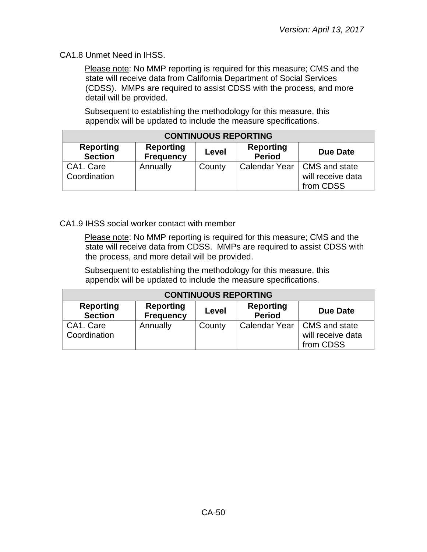CA1.8 Unmet Need in IHSS.

Please note: No MMP reporting is required for this measure; CMS and the state will receive data from California Department of Social Services (CDSS). MMPs are required to assist CDSS with the process, and more detail will be provided.

Subsequent to establishing the methodology for this measure, this appendix will be updated to include the measure specifications.

| <b>CONTINUOUS REPORTING</b>        |                                      |        |                                   |                                |  |
|------------------------------------|--------------------------------------|--------|-----------------------------------|--------------------------------|--|
| <b>Reporting</b><br><b>Section</b> | <b>Reporting</b><br><b>Frequency</b> | Level  | <b>Reporting</b><br><b>Period</b> | <b>Due Date</b>                |  |
| CA1. Care<br>Coordination          | Annually                             | County | Calendar Year   CMS and state     | will receive data<br>from CDSS |  |

CA1.9 IHSS social worker contact with member

Please note: No MMP reporting is required for this measure; CMS and the state will receive data from CDSS. MMPs are required to assist CDSS with the process, and more detail will be provided.

Subsequent to establishing the methodology for this measure, this appendix will be updated to include the measure specifications.

| <b>CONTINUOUS REPORTING</b>        |                                      |        |                                   |                                                                 |  |
|------------------------------------|--------------------------------------|--------|-----------------------------------|-----------------------------------------------------------------|--|
| <b>Reporting</b><br><b>Section</b> | <b>Reporting</b><br><b>Frequency</b> | Level  | <b>Reporting</b><br><b>Period</b> | Due Date                                                        |  |
| CA1. Care<br>Coordination          | Annually                             | County |                                   | Calendar Year   CMS and state<br>will receive data<br>from CDSS |  |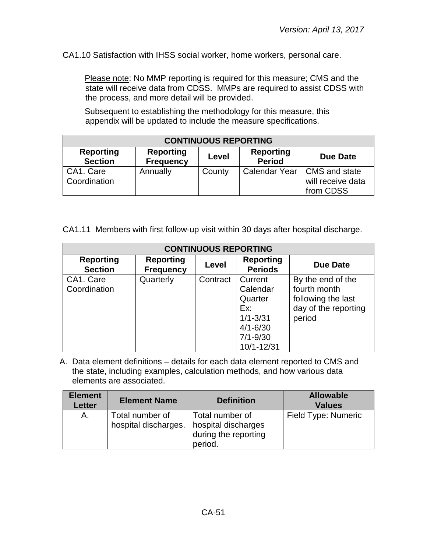CA1.10 Satisfaction with IHSS social worker, home workers, personal care.

Please note: No MMP reporting is required for this measure; CMS and the state will receive data from CDSS. MMPs are required to assist CDSS with the process, and more detail will be provided.

Subsequent to establishing the methodology for this measure, this appendix will be updated to include the measure specifications.

| <b>CONTINUOUS REPORTING</b>        |                                      |        |                                   |                                                                 |
|------------------------------------|--------------------------------------|--------|-----------------------------------|-----------------------------------------------------------------|
| <b>Reporting</b><br><b>Section</b> | <b>Reporting</b><br><b>Frequency</b> | Level  | <b>Reporting</b><br><b>Period</b> | Due Date                                                        |
| CA1. Care<br>Coordination          | Annually                             | County |                                   | Calendar Year   CMS and state<br>will receive data<br>from CDSS |

CA1.11 Members with first follow-up visit within 30 days after hospital discharge.

| <b>CONTINUOUS REPORTING</b>        |                                      |          |                                                                                                     |                                                                                           |  |
|------------------------------------|--------------------------------------|----------|-----------------------------------------------------------------------------------------------------|-------------------------------------------------------------------------------------------|--|
| <b>Reporting</b><br><b>Section</b> | <b>Reporting</b><br><b>Frequency</b> | Level    | <b>Reporting</b><br><b>Periods</b>                                                                  | Due Date                                                                                  |  |
| CA1. Care<br>Coordination          | Quarterly                            | Contract | Current<br>Calendar<br>Quarter<br>Ex:<br>$1/1 - 3/31$<br>$4/1 - 6/30$<br>$7/1 - 9/30$<br>10/1-12/31 | By the end of the<br>fourth month<br>following the last<br>day of the reporting<br>period |  |

| <b>Element</b><br><b>Letter</b> | <b>Element Name</b>                     | <b>Definition</b>                                                         | <b>Allowable</b><br><b>Values</b> |
|---------------------------------|-----------------------------------------|---------------------------------------------------------------------------|-----------------------------------|
| А.                              | Total number of<br>hospital discharges. | Total number of<br>hospital discharges<br>during the reporting<br>period. | Field Type: Numeric               |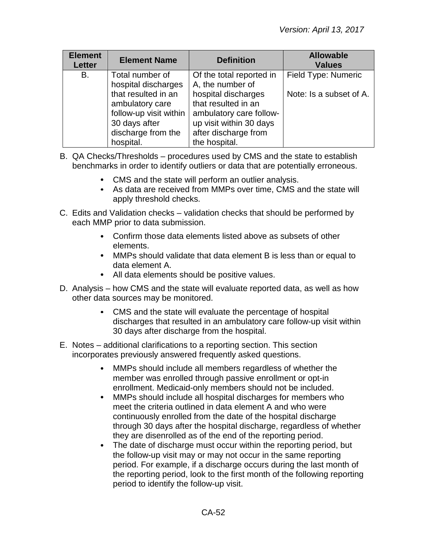| <b>Element</b><br><b>Letter</b> | <b>Element Name</b>                                                                                                  | <b>Definition</b>                                                                                                                         | <b>Allowable</b><br><b>Values</b> |
|---------------------------------|----------------------------------------------------------------------------------------------------------------------|-------------------------------------------------------------------------------------------------------------------------------------------|-----------------------------------|
| B.                              | Total number of<br>hospital discharges                                                                               | Of the total reported in<br>A, the number of                                                                                              | Field Type: Numeric               |
|                                 | that resulted in an<br>ambulatory care<br>follow-up visit within<br>30 days after<br>discharge from the<br>hospital. | hospital discharges<br>that resulted in an<br>ambulatory care follow-<br>up visit within 30 days<br>after discharge from<br>the hospital. | Note: Is a subset of A.           |

- B. QA Checks/Thresholds procedures used by CMS and the state to establish benchmarks in order to identify outliers or data that are potentially erroneous.
	- CMS and the state will perform an outlier analysis.
	- As data are received from MMPs over time, CMS and the state will apply threshold checks.
- C. Edits and Validation checks validation checks that should be performed by each MMP prior to data submission.
	- Confirm those data elements listed above as subsets of other elements.
	- MMPs should validate that data element B is less than or equal to data element A.
	- All data elements should be positive values.
- D. Analysis how CMS and the state will evaluate reported data, as well as how other data sources may be monitored.
	- CMS and the state will evaluate the percentage of hospital discharges that resulted in an ambulatory care follow-up visit within 30 days after discharge from the hospital.
- E. Notes additional clarifications to a reporting section. This section incorporates previously answered frequently asked questions.
	- $\bullet$ MMPs should include all members regardless of whether the member was enrolled through passive enrollment or opt-in enrollment. Medicaid-only members should not be included.
	- $\bullet$ MMPs should include all hospital discharges for members who meet the criteria outlined in data element A and who were continuously enrolled from the date of the hospital discharge through 30 days after the hospital discharge, regardless of whether they are disenrolled as of the end of the reporting period.
	- The date of discharge must occur within the reporting period, but the follow-up visit may or may not occur in the same reporting period. For example, if a discharge occurs during the last month of the reporting period, look to the first month of the following reporting period to identify the follow-up visit.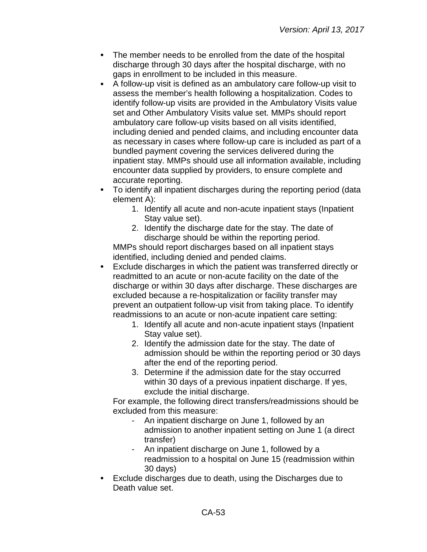- $\bullet$ The member needs to be enrolled from the date of the hospital discharge through 30 days after the hospital discharge, with no gaps in enrollment to be included in this measure.
- $\bullet$ A follow-up visit is defined as an ambulatory care follow-up visit to assess the member's health following a hospitalization. Codes to identify follow-up visits are provided in the Ambulatory Visits value set and Other Ambulatory Visits value set. MMPs should report ambulatory care follow-up visits based on all visits identified, including denied and pended claims, and including encounter data as necessary in cases where follow-up care is included as part of a bundled payment covering the services delivered during the inpatient stay. MMPs should use all information available, including encounter data supplied by providers, to ensure complete and accurate reporting.
- To identify all inpatient discharges during the reporting period (data element A):
	- 1. Identify all acute and non-acute inpatient stays (Inpatient Stay value set).
	- 2. Identify the discharge date for the stay. The date of discharge should be within the reporting period.

MMPs should report discharges based on all inpatient stays identified, including denied and pended claims.

- $\bullet$ Exclude discharges in which the patient was transferred directly or readmitted to an acute or non-acute facility on the date of the discharge or within 30 days after discharge. These discharges are excluded because a re-hospitalization or facility transfer may prevent an outpatient follow-up visit from taking place. To identify readmissions to an acute or non-acute inpatient care setting:
	- 1. Identify all acute and non-acute inpatient stays (Inpatient Stay value set).
	- 2. Identify the admission date for the stay. The date of admission should be within the reporting period or 30 days after the end of the reporting period.
	- 3. Determine if the admission date for the stay occurred within 30 days of a previous inpatient discharge. If yes, exclude the initial discharge.

For example, the following direct transfers/readmissions should be excluded from this measure:

- An inpatient discharge on June 1, followed by an admission to another inpatient setting on June 1 (a direct transfer)
- An inpatient discharge on June 1, followed by a readmission to a hospital on June 15 (readmission within 30 days)
- Exclude discharges due to death, using the Discharges due to Death value set.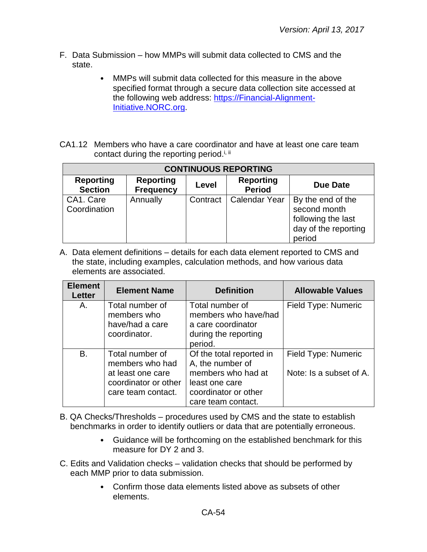- F. Data Submission how MMPs will submit data collected to CMS and the state.
	- MMPs will submit data collected for this measure in the above  $\bullet$ specified format through a secure data collection site accessed at the following web address: [https://Financial-Alignment-](https://financial-alignment-initiative.norc.org/)[Initiative.NORC.org.](https://financial-alignment-initiative.norc.org/)
- CA1.12 Members who have a care coordinator and have at least one care team contact during the reporting period.<sup>i, ii</sup>

| <b>CONTINUOUS REPORTING</b>        |                                      |          |                                   |                                                                                           |
|------------------------------------|--------------------------------------|----------|-----------------------------------|-------------------------------------------------------------------------------------------|
| <b>Reporting</b><br><b>Section</b> | <b>Reporting</b><br><b>Frequency</b> | Level    | <b>Reporting</b><br><b>Period</b> | <b>Due Date</b>                                                                           |
| CA1. Care<br>Coordination          | Annually                             | Contract | <b>Calendar Year</b>              | By the end of the<br>second month<br>following the last<br>day of the reporting<br>period |

| <b>Element</b><br>Letter | <b>Element Name</b>                                                                                   | <b>Definition</b>                                                                                                                  | <b>Allowable Values</b>                        |
|--------------------------|-------------------------------------------------------------------------------------------------------|------------------------------------------------------------------------------------------------------------------------------------|------------------------------------------------|
| Α.                       | Total number of<br>members who<br>have/had a care<br>coordinator.                                     | Total number of<br>members who have/had<br>a care coordinator<br>during the reporting<br>period.                                   | Field Type: Numeric                            |
| B.                       | Total number of<br>members who had<br>at least one care<br>coordinator or other<br>care team contact. | Of the total reported in<br>A, the number of<br>members who had at<br>least one care<br>coordinator or other<br>care team contact. | Field Type: Numeric<br>Note: Is a subset of A. |

- B. QA Checks/Thresholds procedures used by CMS and the state to establish benchmarks in order to identify outliers or data that are potentially erroneous.
	- Guidance will be forthcoming on the established benchmark for this measure for DY 2 and 3.
- C. Edits and Validation checks validation checks that should be performed by each MMP prior to data submission.
	- $\bullet$ Confirm those data elements listed above as subsets of other elements.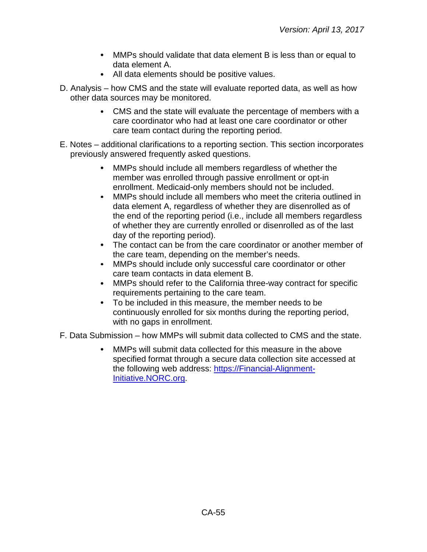- MMPs should validate that data element B is less than or equal to data element A.
- All data elements should be positive values.
- D. Analysis how CMS and the state will evaluate reported data, as well as how other data sources may be monitored.
	- CMS and the state will evaluate the percentage of members with a care coordinator who had at least one care coordinator or other care team contact during the reporting period.
- E. Notes additional clarifications to a reporting section. This section incorporates previously answered frequently asked questions.
	- MMPs should include all members regardless of whether the member was enrolled through passive enrollment or opt-in enrollment. Medicaid-only members should not be included.
	- $\bullet$ MMPs should include all members who meet the criteria outlined in data element A, regardless of whether they are disenrolled as of the end of the reporting period (i.e., include all members regardless of whether they are currently enrolled or disenrolled as of the last day of the reporting period).
	- The contact can be from the care coordinator or another member of  $\bullet$ the care team, depending on the member's needs.
	- $\bullet$ MMPs should include only successful care coordinator or other care team contacts in data element B.
	- $\bullet$ MMPs should refer to the California three-way contract for specific requirements pertaining to the care team.
	- To be included in this measure, the member needs to be continuously enrolled for six months during the reporting period, with no gaps in enrollment.

F. Data Submission – how MMPs will submit data collected to CMS and the state.

MMPs will submit data collected for this measure in the above specified format through a secure data collection site accessed at the following web address: [https://Financial-Alignment-](https://financial-alignment-initiative.norc.org/)[Initiative.NORC.org.](https://financial-alignment-initiative.norc.org/)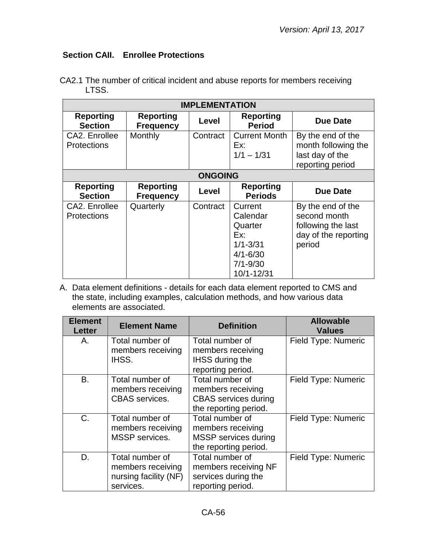## **Section CAII. Enrollee Protections**

| <b>IMPLEMENTATION</b>               |                                      |          |                                                                                                     |                                                                                           |  |
|-------------------------------------|--------------------------------------|----------|-----------------------------------------------------------------------------------------------------|-------------------------------------------------------------------------------------------|--|
| <b>Reporting</b><br><b>Section</b>  | <b>Reporting</b><br><b>Frequency</b> | Level    | <b>Reporting</b><br><b>Period</b>                                                                   | <b>Due Date</b>                                                                           |  |
| CA2. Enrollee<br><b>Protections</b> | Monthly                              | Contract | <b>Current Month</b><br>Ex:<br>$1/1 - 1/31$                                                         | By the end of the<br>month following the<br>last day of the<br>reporting period           |  |
|                                     | <b>ONGOING</b>                       |          |                                                                                                     |                                                                                           |  |
| <b>Reporting</b><br><b>Section</b>  | <b>Reporting</b><br><b>Frequency</b> | Level    | <b>Reporting</b><br><b>Periods</b>                                                                  | <b>Due Date</b>                                                                           |  |
| CA2. Enrollee<br><b>Protections</b> | Quarterly                            | Contract | Current<br>Calendar<br>Quarter<br>Ex:<br>$1/1 - 3/31$<br>$4/1 - 6/30$<br>$7/1 - 9/30$<br>10/1-12/31 | By the end of the<br>second month<br>following the last<br>day of the reporting<br>period |  |

CA2.1 The number of critical incident and abuse reports for members receiving LTSS.

| <b>Element</b><br><b>Letter</b> | <b>Element Name</b>                                                        | <b>Definition</b>                                                                            | <b>Allowable</b><br><b>Values</b> |
|---------------------------------|----------------------------------------------------------------------------|----------------------------------------------------------------------------------------------|-----------------------------------|
| Α.                              | Total number of<br>members receiving<br>IHSS.                              | Total number of<br>members receiving<br><b>IHSS during the</b><br>reporting period.          | Field Type: Numeric               |
| <b>B.</b>                       | Total number of<br>members receiving<br><b>CBAS</b> services.              | Total number of<br>members receiving<br><b>CBAS</b> services during<br>the reporting period. | Field Type: Numeric               |
| $C_{\cdot}$                     | Total number of<br>members receiving<br>MSSP services.                     | Total number of<br>members receiving<br><b>MSSP</b> services during<br>the reporting period. | Field Type: Numeric               |
| D.                              | Total number of<br>members receiving<br>nursing facility (NF)<br>services. | Total number of<br>members receiving NF<br>services during the<br>reporting period.          | Field Type: Numeric               |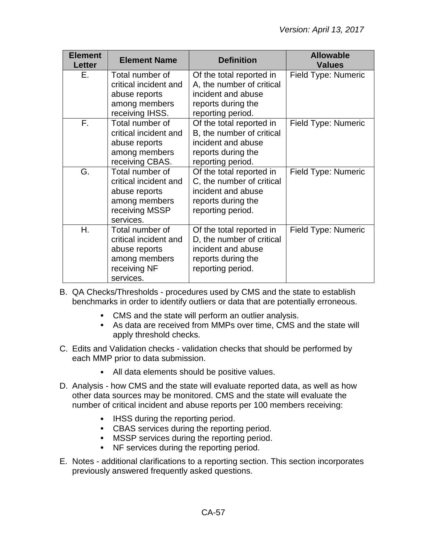| <b>Element</b><br><b>Letter</b> | <b>Element Name</b>                                                                                       | <b>Definition</b>                                                                                                      | <b>Allowable</b><br><b>Values</b> |
|---------------------------------|-----------------------------------------------------------------------------------------------------------|------------------------------------------------------------------------------------------------------------------------|-----------------------------------|
| Е.                              | Total number of<br>critical incident and<br>abuse reports<br>among members<br>receiving IHSS.             | Of the total reported in<br>A, the number of critical<br>incident and abuse<br>reports during the<br>reporting period. | Field Type: Numeric               |
| $\overline{F}$ .                | Total number of<br>critical incident and<br>abuse reports<br>among members<br>receiving CBAS.             | Of the total reported in<br>B, the number of critical<br>incident and abuse<br>reports during the<br>reporting period. | Field Type: Numeric               |
| G.                              | Total number of<br>critical incident and<br>abuse reports<br>among members<br>receiving MSSP<br>services. | Of the total reported in<br>C, the number of critical<br>incident and abuse<br>reports during the<br>reporting period. | Field Type: Numeric               |
| Η.                              | Total number of<br>critical incident and<br>abuse reports<br>among members<br>receiving NF<br>services.   | Of the total reported in<br>D, the number of critical<br>incident and abuse<br>reports during the<br>reporting period. | Field Type: Numeric               |

B. QA Checks/Thresholds - procedures used by CMS and the state to establish benchmarks in order to identify outliers or data that are potentially erroneous.

- CMS and the state will perform an outlier analysis.
- As data are received from MMPs over time, CMS and the state will apply threshold checks.
- C. Edits and Validation checks validation checks that should be performed by each MMP prior to data submission.
	- All data elements should be positive values.
- D. Analysis how CMS and the state will evaluate reported data, as well as how other data sources may be monitored. CMS and the state will evaluate the number of critical incident and abuse reports per 100 members receiving:
	- IHSS during the reporting period.
	- CBAS services during the reporting period.
	- MSSP services during the reporting period.
	- NF services during the reporting period.
- E. Notes additional clarifications to a reporting section. This section incorporates previously answered frequently asked questions.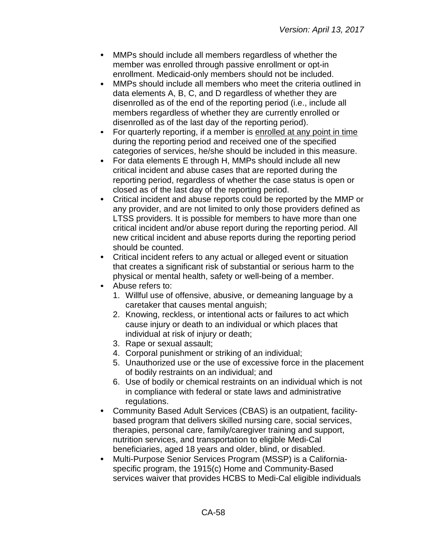- $\bullet$ MMPs should include all members regardless of whether the member was enrolled through passive enrollment or opt-in enrollment. Medicaid-only members should not be included.
- MMPs should include all members who meet the criteria outlined in  $\bullet$ data elements A, B, C, and D regardless of whether they are disenrolled as of the end of the reporting period (i.e., include all members regardless of whether they are currently enrolled or disenrolled as of the last day of the reporting period).
- For quarterly reporting, if a member is enrolled at any point in time during the reporting period and received one of the specified categories of services, he/she should be included in this measure.
- $\bullet$ For data elements E through H, MMPs should include all new critical incident and abuse cases that are reported during the reporting period, regardless of whether the case status is open or closed as of the last day of the reporting period.
- $\bullet$ Critical incident and abuse reports could be reported by the MMP or any provider, and are not limited to only those providers defined as LTSS providers. It is possible for members to have more than one critical incident and/or abuse report during the reporting period. All new critical incident and abuse reports during the reporting period should be counted.
- $\bullet$ Critical incident refers to any actual or alleged event or situation that creates a significant risk of substantial or serious harm to the physical or mental health, safety or well-being of a member.
- Abuse refers to:
	- 1. Willful use of offensive, abusive, or demeaning language by a caretaker that causes mental anguish;
	- 2. Knowing, reckless, or intentional acts or failures to act which cause injury or death to an individual or which places that individual at risk of injury or death;
	- 3. Rape or sexual assault;
	- 4. Corporal punishment or striking of an individual;
	- 5. Unauthorized use or the use of excessive force in the placement of bodily restraints on an individual; and
	- 6. Use of bodily or chemical restraints on an individual which is not in compliance with federal or state laws and administrative regulations.
- Community Based Adult Services (CBAS) is an outpatient, facility- $\bullet$ based program that delivers skilled nursing care, social services, therapies, personal care, family/caregiver training and support, nutrition services, and transportation to eligible Medi-Cal beneficiaries, aged 18 years and older, blind, or disabled.
- Multi-Purpose Senior Services Program (MSSP) is a Californiaspecific program, the 1915(c) Home and Community-Based services waiver that provides HCBS to Medi-Cal eligible individuals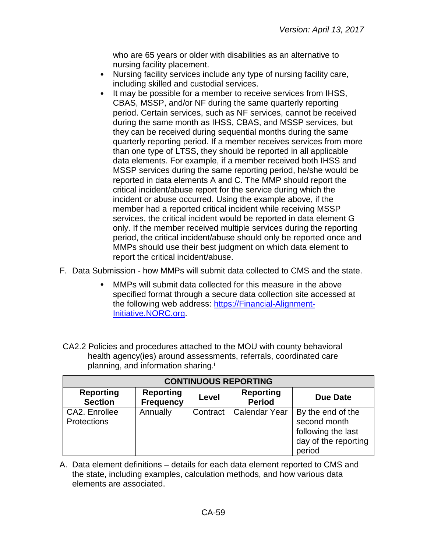who are 65 years or older with disabilities as an alternative to nursing facility placement.

- $\bullet$ Nursing facility services include any type of nursing facility care, including skilled and custodial services.
- It may be possible for a member to receive services from IHSS,  $\bullet$ CBAS, MSSP, and/or NF during the same quarterly reporting period. Certain services, such as NF services, cannot be received during the same month as IHSS, CBAS, and MSSP services, but they can be received during sequential months during the same quarterly reporting period. If a member receives services from more than one type of LTSS, they should be reported in all applicable data elements. For example, if a member received both IHSS and MSSP services during the same reporting period, he/she would be reported in data elements A and C. The MMP should report the critical incident/abuse report for the service during which the incident or abuse occurred. Using the example above, if the member had a reported critical incident while receiving MSSP services, the critical incident would be reported in data element G only. If the member received multiple services during the reporting period, the critical incident/abuse should only be reported once and MMPs should use their best judgment on which data element to report the critical incident/abuse.
- F. Data Submission how MMPs will submit data collected to CMS and the state.
	- MMPs will submit data collected for this measure in the above specified format through a secure data collection site accessed at the following web address: [https://Financial-Alignment-](https://financial-alignment-initiative.norc.org/)[Initiative.NORC.org.](https://financial-alignment-initiative.norc.org/)
- CA2.2 Policies and procedures attached to the MOU with county behavioral health agency(ies) around assessments, referrals, coordinated care planning, and information sharing.<sup>i</sup>

| <b>CONTINUOUS REPORTING</b>         |                                      |          |                                   |                                                                                           |
|-------------------------------------|--------------------------------------|----------|-----------------------------------|-------------------------------------------------------------------------------------------|
| <b>Reporting</b><br><b>Section</b>  | <b>Reporting</b><br><b>Frequency</b> | Level    | <b>Reporting</b><br><b>Period</b> | Due Date                                                                                  |
| CA2. Enrollee<br><b>Protections</b> | Annually                             | Contract | <b>Calendar Year</b>              | By the end of the<br>second month<br>following the last<br>day of the reporting<br>period |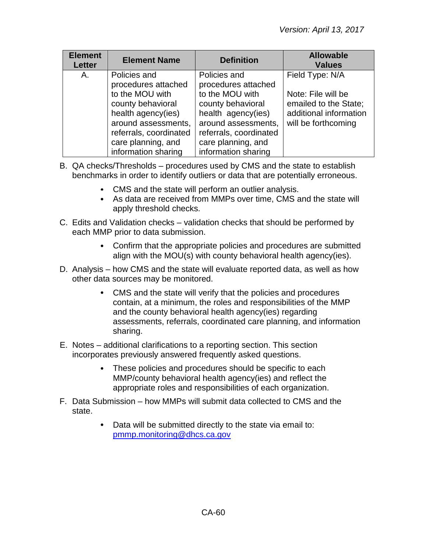| <b>Element</b><br><b>Letter</b> | <b>Element Name</b>                                                                                                                                                                             | <b>Definition</b>                                                                                                                                                                               | <b>Allowable</b><br><b>Values</b>                                                                               |
|---------------------------------|-------------------------------------------------------------------------------------------------------------------------------------------------------------------------------------------------|-------------------------------------------------------------------------------------------------------------------------------------------------------------------------------------------------|-----------------------------------------------------------------------------------------------------------------|
| А.                              | Policies and<br>procedures attached<br>to the MOU with<br>county behavioral<br>health agency(ies)<br>around assessments,<br>referrals, coordinated<br>care planning, and<br>information sharing | Policies and<br>procedures attached<br>to the MOU with<br>county behavioral<br>health agency(ies)<br>around assessments,<br>referrals, coordinated<br>care planning, and<br>information sharing | Field Type: N/A<br>Note: File will be<br>emailed to the State;<br>additional information<br>will be forthcoming |

- B. QA checks/Thresholds procedures used by CMS and the state to establish benchmarks in order to identify outliers or data that are potentially erroneous.
	- CMS and the state will perform an outlier analysis.
	- As data are received from MMPs over time, CMS and the state will apply threshold checks.
- C. Edits and Validation checks validation checks that should be performed by each MMP prior to data submission.
	- Confirm that the appropriate policies and procedures are submitted align with the MOU(s) with county behavioral health agency(ies).
- D. Analysis how CMS and the state will evaluate reported data, as well as how other data sources may be monitored.
	- CMS and the state will verify that the policies and procedures contain, at a minimum, the roles and responsibilities of the MMP and the county behavioral health agency(ies) regarding assessments, referrals, coordinated care planning, and information sharing.
- E. Notes additional clarifications to a reporting section. This section incorporates previously answered frequently asked questions.
	- These policies and procedures should be specific to each MMP/county behavioral health agency(ies) and reflect the appropriate roles and responsibilities of each organization.
- F. Data Submission how MMPs will submit data collected to CMS and the state.
	- Data will be submitted directly to the state via email to:  $\bullet$ [pmmp.monitoring@dhcs.ca.gov](mailto:pmmp.monitoring@dhcs.ca.gov)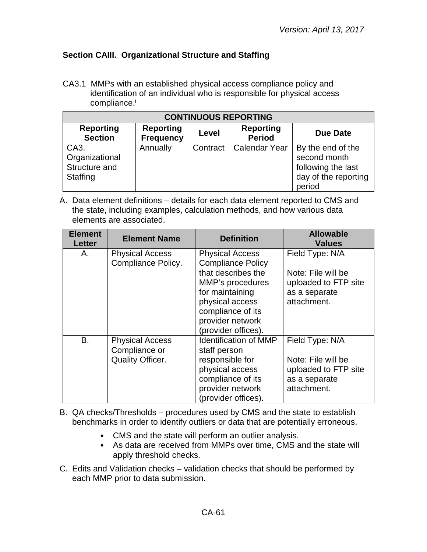## **Section CAIII. Organizational Structure and Staffing**

CA3.1 MMPs with an established physical access compliance policy and identification of an individual who is responsible for physical access compliance.<sup>i</sup>

| <b>CONTINUOUS REPORTING</b>                         |                                      |          |                                   |                                                                                           |
|-----------------------------------------------------|--------------------------------------|----------|-----------------------------------|-------------------------------------------------------------------------------------------|
| <b>Reporting</b><br><b>Section</b>                  | <b>Reporting</b><br><b>Frequency</b> | Level    | <b>Reporting</b><br><b>Period</b> | <b>Due Date</b>                                                                           |
| CA3.<br>Organizational<br>Structure and<br>Staffing | Annually                             | Contract | <b>Calendar Year</b>              | By the end of the<br>second month<br>following the last<br>day of the reporting<br>period |

| <b>Element</b><br><b>Letter</b> | <b>Element Name</b>                                                | <b>Definition</b>                                                                                                                                                                                  | <b>Allowable</b><br><b>Values</b>                                                             |
|---------------------------------|--------------------------------------------------------------------|----------------------------------------------------------------------------------------------------------------------------------------------------------------------------------------------------|-----------------------------------------------------------------------------------------------|
| А.                              | <b>Physical Access</b><br>Compliance Policy.                       | <b>Physical Access</b><br><b>Compliance Policy</b><br>that describes the<br>MMP's procedures<br>for maintaining<br>physical access<br>compliance of its<br>provider network<br>(provider offices). | Field Type: N/A<br>Note: File will be<br>uploaded to FTP site<br>as a separate<br>attachment. |
| <b>B.</b>                       | <b>Physical Access</b><br>Compliance or<br><b>Quality Officer.</b> | <b>Identification of MMP</b><br>staff person<br>responsible for<br>physical access<br>compliance of its<br>provider network<br>(provider offices).                                                 | Field Type: N/A<br>Note: File will be<br>uploaded to FTP site<br>as a separate<br>attachment. |

- B. QA checks/Thresholds procedures used by CMS and the state to establish benchmarks in order to identify outliers or data that are potentially erroneous.
	- CMS and the state will perform an outlier analysis.
	- As data are received from MMPs over time, CMS and the state will apply threshold checks.
- C. Edits and Validation checks validation checks that should be performed by each MMP prior to data submission.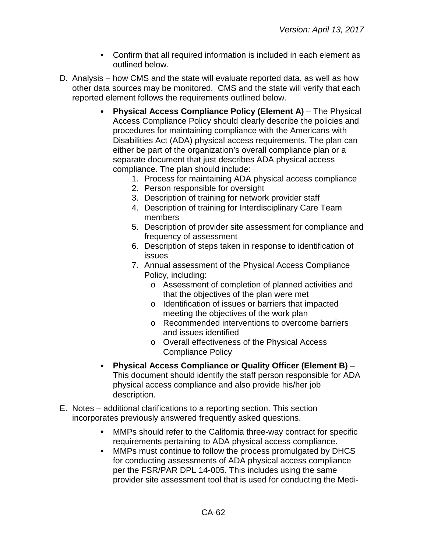- Confirm that all required information is included in each element as outlined below.
- D. Analysis how CMS and the state will evaluate reported data, as well as how other data sources may be monitored. CMS and the state will verify that each reported element follows the requirements outlined below.
	- **Physical Access Compliance Policy (Element A)** The Physical Access Compliance Policy should clearly describe the policies and procedures for maintaining compliance with the Americans with Disabilities Act (ADA) physical access requirements. The plan can either be part of the organization's overall compliance plan or a separate document that just describes ADA physical access compliance. The plan should include:
		- 1. Process for maintaining ADA physical access compliance
		- 2. Person responsible for oversight
		- 3. Description of training for network provider staff
		- 4. Description of training for Interdisciplinary Care Team members
		- 5. Description of provider site assessment for compliance and frequency of assessment
		- 6. Description of steps taken in response to identification of issues
		- 7. Annual assessment of the Physical Access Compliance Policy, including:
			- o Assessment of completion of planned activities and that the objectives of the plan were met
			- o Identification of issues or barriers that impacted meeting the objectives of the work plan
			- o Recommended interventions to overcome barriers and issues identified
			- o Overall effectiveness of the Physical Access Compliance Policy
	- **Physical Access Compliance or Quality Officer (Element B)**  $\bullet$ This document should identify the staff person responsible for ADA physical access compliance and also provide his/her job description.
- E. Notes additional clarifications to a reporting section. This section incorporates previously answered frequently asked questions.
	- MMPs should refer to the California three-way contract for specific requirements pertaining to ADA physical access compliance.
	- MMPs must continue to follow the process promulgated by DHCS  $\bullet$ for conducting assessments of ADA physical access compliance per the FSR/PAR DPL 14-005. This includes using the same provider site assessment tool that is used for conducting the Medi-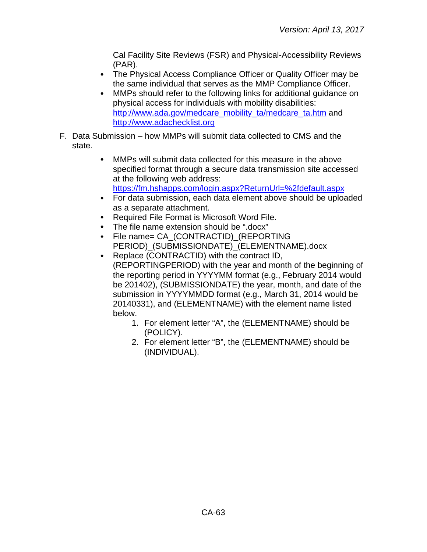Cal Facility Site Reviews (FSR) and Physical-Accessibility Reviews (PAR).

- The Physical Access Compliance Officer or Quality Officer may be the same individual that serves as the MMP Compliance Officer.
- MMPs should refer to the following links for additional guidance on  $\bullet$ physical access for individuals with mobility disabilities: [http://www.ada.gov/medcare\\_mobility\\_ta/medcare\\_ta.htm](http://www.ada.gov/medcare_mobility_ta/medcare_ta.htm) and [http://www.adachecklist.org](http://www.adachecklist.org/)
- F. Data Submission how MMPs will submit data collected to CMS and the state.
	- MMPs will submit data collected for this measure in the above  $\bullet$ specified format through a secure data transmission site accessed at the following web address: <https://fm.hshapps.com/login.aspx?ReturnUrl=%2fdefault.aspx>
	- For data submission, each data element above should be uploaded as a separate attachment.
	- $\bullet$ Required File Format is Microsoft Word File.
	- The file name extension should be ".docx"
	- $\bullet$ File name= CA\_(CONTRACTID)\_(REPORTING PERIOD) (SUBMISSIONDATE) (ELEMENTNAME).docx
	- Replace (CONTRACTID) with the contract ID,  $\bullet$ (REPORTINGPERIOD) with the year and month of the beginning of the reporting period in YYYYMM format (e.g., February 2014 would be 201402), (SUBMISSIONDATE) the year, month, and date of the submission in YYYYMMDD format (e.g., March 31, 2014 would be 20140331), and (ELEMENTNAME) with the element name listed below.
		- 1. For element letter "A", the (ELEMENTNAME) should be (POLICY).
		- 2. For element letter "B", the (ELEMENTNAME) should be (INDIVIDUAL).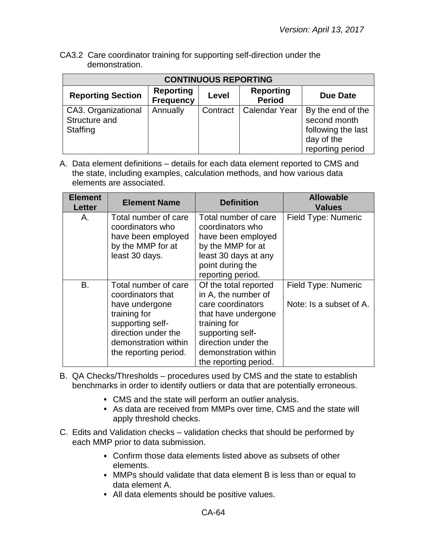CA3.2 Care coordinator training for supporting self-direction under the demonstration.

| <b>CONTINUOUS REPORTING</b>                      |                                      |          |                                   |                                                                                           |  |
|--------------------------------------------------|--------------------------------------|----------|-----------------------------------|-------------------------------------------------------------------------------------------|--|
| <b>Reporting Section</b>                         | <b>Reporting</b><br><b>Frequency</b> | Level    | <b>Reporting</b><br><b>Period</b> | Due Date                                                                                  |  |
| CA3. Organizational<br>Structure and<br>Staffing | Annually                             | Contract | <b>Calendar Year</b>              | By the end of the<br>second month<br>following the last<br>day of the<br>reporting period |  |

| <b>Element</b><br><b>Letter</b> | <b>Element Name</b>                                                                                                                                                     | <b>Definition</b>                                                                                                                                                                                    | <b>Allowable</b><br><b>Values</b>              |
|---------------------------------|-------------------------------------------------------------------------------------------------------------------------------------------------------------------------|------------------------------------------------------------------------------------------------------------------------------------------------------------------------------------------------------|------------------------------------------------|
| А.                              | Total number of care<br>coordinators who<br>have been employed<br>by the MMP for at<br>least 30 days.                                                                   | Total number of care<br>coordinators who<br>have been employed<br>by the MMP for at<br>least 30 days at any<br>point during the<br>reporting period.                                                 | Field Type: Numeric                            |
| B.                              | Total number of care<br>coordinators that<br>have undergone<br>training for<br>supporting self-<br>direction under the<br>demonstration within<br>the reporting period. | Of the total reported<br>in A, the number of<br>care coordinators<br>that have undergone<br>training for<br>supporting self-<br>direction under the<br>demonstration within<br>the reporting period. | Field Type: Numeric<br>Note: Is a subset of A. |

- B. QA Checks/Thresholds procedures used by CMS and the state to establish benchmarks in order to identify outliers or data that are potentially erroneous.
	- CMS and the state will perform an outlier analysis.
	- As data are received from MMPs over time, CMS and the state will apply threshold checks.
- C. Edits and Validation checks validation checks that should be performed by each MMP prior to data submission.
	- Confirm those data elements listed above as subsets of other elements.
	- MMPs should validate that data element B is less than or equal to data element A.
	- All data elements should be positive values.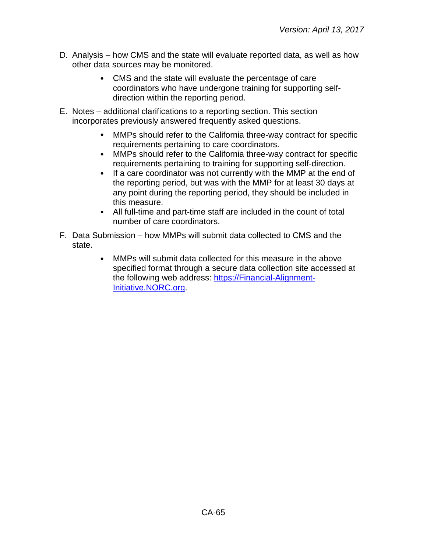- D. Analysis how CMS and the state will evaluate reported data, as well as how other data sources may be monitored.
	- CMS and the state will evaluate the percentage of care coordinators who have undergone training for supporting selfdirection within the reporting period.
- E. Notes additional clarifications to a reporting section. This section incorporates previously answered frequently asked questions.
	- MMPs should refer to the California three-way contract for specific  $\bullet$ requirements pertaining to care coordinators.
	- $\bullet$ MMPs should refer to the California three-way contract for specific requirements pertaining to training for supporting self-direction.
	- $\bullet$ If a care coordinator was not currently with the MMP at the end of the reporting period, but was with the MMP for at least 30 days at any point during the reporting period, they should be included in this measure.
	- All full-time and part-time staff are included in the count of total number of care coordinators.
- F. Data Submission how MMPs will submit data collected to CMS and the state.
	- MMPs will submit data collected for this measure in the above  $\bullet$ specified format through a secure data collection site accessed at the following web address: [https://Financial-Alignment-](https://financial-alignment-initiative.norc.org/)[Initiative.NORC.org.](https://financial-alignment-initiative.norc.org/)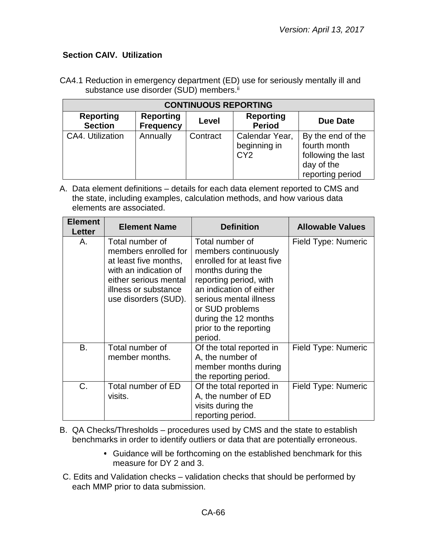## **Section CAIV. Utilization**

CA4.1 Reduction in emergency department (ED) use for seriously mentally ill and substance use disorder (SUD) members.<sup>ii</sup>

| <b>CONTINUOUS REPORTING</b>        |                                      |          |                                                   |                                                                                           |
|------------------------------------|--------------------------------------|----------|---------------------------------------------------|-------------------------------------------------------------------------------------------|
| <b>Reporting</b><br><b>Section</b> | <b>Reporting</b><br><b>Frequency</b> | Level    | <b>Reporting</b><br><b>Period</b>                 | <b>Due Date</b>                                                                           |
| CA4. Utilization                   | Annually                             | Contract | Calendar Year,<br>beginning in<br>CY <sub>2</sub> | By the end of the<br>fourth month<br>following the last<br>day of the<br>reporting period |

A. Data element definitions – details for each data element reported to CMS and the state, including examples, calculation methods, and how various data elements are associated.

| <b>Element</b><br>Letter | <b>Element Name</b>                                                                                                                                                | <b>Definition</b>                                                                                                                                                                                                                                         | <b>Allowable Values</b> |
|--------------------------|--------------------------------------------------------------------------------------------------------------------------------------------------------------------|-----------------------------------------------------------------------------------------------------------------------------------------------------------------------------------------------------------------------------------------------------------|-------------------------|
| Α.                       | Total number of<br>members enrolled for<br>at least five months,<br>with an indication of<br>either serious mental<br>illness or substance<br>use disorders (SUD). | Total number of<br>members continuously<br>enrolled for at least five<br>months during the<br>reporting period, with<br>an indication of either<br>serious mental illness<br>or SUD problems<br>during the 12 months<br>prior to the reporting<br>period. | Field Type: Numeric     |
| B.                       | Total number of<br>member months.                                                                                                                                  | Of the total reported in<br>A, the number of<br>member months during<br>the reporting period.                                                                                                                                                             | Field Type: Numeric     |
| C.                       | Total number of ED<br>visits.                                                                                                                                      | Of the total reported in<br>A, the number of ED<br>visits during the<br>reporting period.                                                                                                                                                                 | Field Type: Numeric     |

B. QA Checks/Thresholds – procedures used by CMS and the state to establish benchmarks in order to identify outliers or data that are potentially erroneous.

- Guidance will be forthcoming on the established benchmark for this measure for DY 2 and 3.
- C. Edits and Validation checks validation checks that should be performed by each MMP prior to data submission.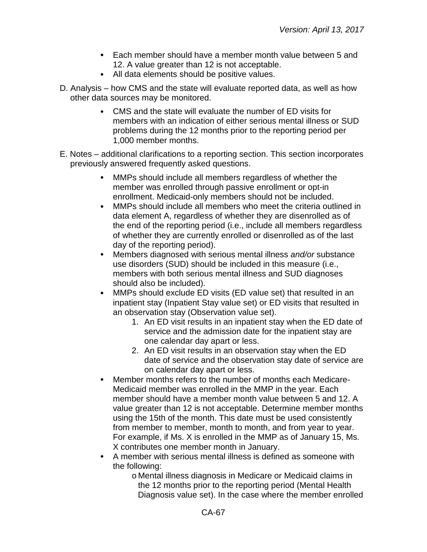- Each member should have a member month value between 5 and 12. A value greater than 12 is not acceptable.
- All data elements should be positive values.
- D. Analysis how CMS and the state will evaluate reported data, as well as how other data sources may be monitored.
	- CMS and the state will evaluate the number of ED visits for members with an indication of either serious mental illness or SUD problems during the 12 months prior to the reporting period per 1,000 member months.
- E. Notes additional clarifications to a reporting section. This section incorporates previously answered frequently asked questions.
	- $\bullet$ MMPs should include all members regardless of whether the member was enrolled through passive enrollment or opt-in enrollment. Medicaid-only members should not be included.
	- $\bullet$ MMPs should include all members who meet the criteria outlined in data element A, regardless of whether they are disenrolled as of the end of the reporting period (i.e., include all members regardless of whether they are currently enrolled or disenrolled as of the last day of the reporting period).
	- $\bullet$ Members diagnosed with serious mental illness *and/or* substance use disorders (SUD) should be included in this measure (i.e., members with both serious mental illness and SUD diagnoses should also be included).
	- MMPs should exclude ED visits (ED value set) that resulted in an  $\bullet$ inpatient stay (Inpatient Stay value set) or ED visits that resulted in an observation stay (Observation value set).
		- 1. An ED visit results in an inpatient stay when the ED date of service and the admission date for the inpatient stay are one calendar day apart or less.
		- 2. An ED visit results in an observation stay when the ED date of service and the observation stay date of service are on calendar day apart or less.
	- $\bullet$ Member months refers to the number of months each Medicare-Medicaid member was enrolled in the MMP in the year. Each member should have a member month value between 5 and 12. A value greater than 12 is not acceptable. Determine member months using the 15th of the month. This date must be used consistently from member to member, month to month, and from year to year. For example, if Ms. X is enrolled in the MMP as of January 15, Ms. X contributes one member month in January.
	- A member with serious mental illness is defined as someone with the following:
		- o Mental illness diagnosis in Medicare or Medicaid claims in the 12 months prior to the reporting period (Mental Health Diagnosis value set). In the case where the member enrolled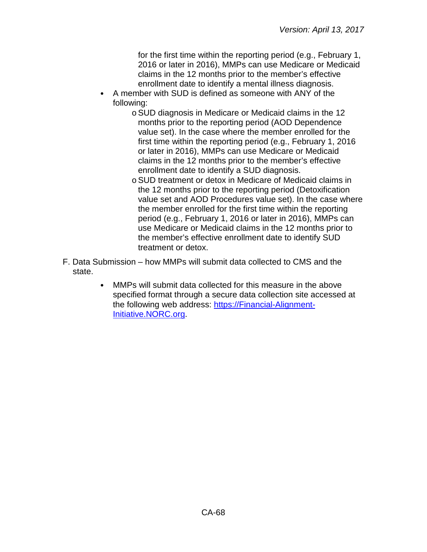for the first time within the reporting period (e.g., February 1, 2016 or later in 2016), MMPs can use Medicare or Medicaid claims in the 12 months prior to the member's effective enrollment date to identify a mental illness diagnosis.

- A member with SUD is defined as someone with ANY of the following:
	- oSUD diagnosis in Medicare or Medicaid claims in the 12 months prior to the reporting period (AOD Dependence value set). In the case where the member enrolled for the first time within the reporting period (e.g., February 1, 2016 or later in 2016), MMPs can use Medicare or Medicaid claims in the 12 months prior to the member's effective enrollment date to identify a SUD diagnosis.
	- oSUD treatment or detox in Medicare of Medicaid claims in the 12 months prior to the reporting period (Detoxification value set and AOD Procedures value set). In the case where the member enrolled for the first time within the reporting period (e.g., February 1, 2016 or later in 2016), MMPs can use Medicare or Medicaid claims in the 12 months prior to the member's effective enrollment date to identify SUD treatment or detox.
- F. Data Submission how MMPs will submit data collected to CMS and the state.
	- MMPs will submit data collected for this measure in the above  $\bullet$ specified format through a secure data collection site accessed at the following web address: [https://Financial-Alignment-](https://financial-alignment-initiative.norc.org/)[Initiative.NORC.org.](https://financial-alignment-initiative.norc.org/)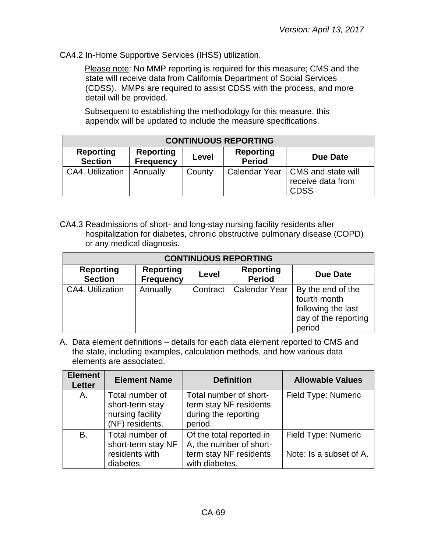CA4.2 In-Home Supportive Services (IHSS) utilization.

Please note: No MMP reporting is required for this measure; CMS and the state will receive data from California Department of Social Services (CDSS). MMPs are required to assist CDSS with the process, and more detail will be provided.

Subsequent to establishing the methodology for this measure, this appendix will be updated to include the measure specifications.

| <b>CONTINUOUS REPORTING</b>                                                                                                          |          |        |  |                                                                        |  |
|--------------------------------------------------------------------------------------------------------------------------------------|----------|--------|--|------------------------------------------------------------------------|--|
| <b>Reporting</b><br><b>Reporting</b><br><b>Reporting</b><br>Level<br>Due Date<br><b>Period</b><br><b>Section</b><br><b>Frequency</b> |          |        |  |                                                                        |  |
| CA4. Utilization                                                                                                                     | Annually | County |  | Calendar Year   CMS and state will<br>receive data from<br><b>CDSS</b> |  |

CA4.3 Readmissions of short- and long-stay nursing facility residents after hospitalization for diabetes, chronic obstructive pulmonary disease (COPD) or any medical diagnosis.

| <b>CONTINUOUS REPORTING</b>        |                                      |          |                                   |                                                                                           |
|------------------------------------|--------------------------------------|----------|-----------------------------------|-------------------------------------------------------------------------------------------|
| <b>Reporting</b><br><b>Section</b> | <b>Reporting</b><br><b>Frequency</b> | Level    | <b>Reporting</b><br><b>Period</b> | Due Date                                                                                  |
| CA4. Utilization                   | Annually                             | Contract | <b>Calendar Year</b>              | By the end of the<br>fourth month<br>following the last<br>day of the reporting<br>period |

| <b>Element</b><br><b>Letter</b> | <b>Element Name</b>                                                       | <b>Definition</b>                                                                               | <b>Allowable Values</b>                        |
|---------------------------------|---------------------------------------------------------------------------|-------------------------------------------------------------------------------------------------|------------------------------------------------|
| Α.                              | Total number of<br>short-term stay<br>nursing facility<br>(NF) residents. | Total number of short-<br>term stay NF residents<br>during the reporting<br>period.             | Field Type: Numeric                            |
| B.                              | Total number of<br>short-term stay NF<br>residents with<br>diabetes.      | Of the total reported in<br>A, the number of short-<br>term stay NF residents<br>with diabetes. | Field Type: Numeric<br>Note: Is a subset of A. |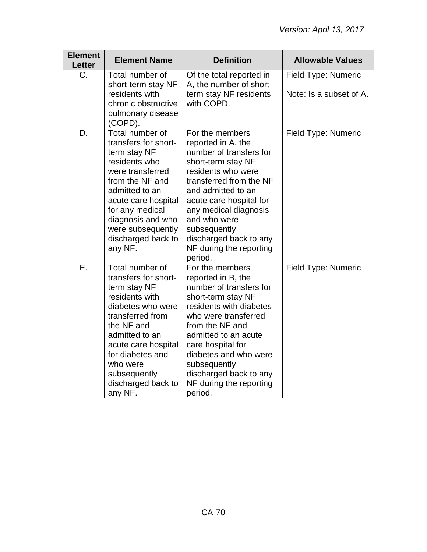| <b>Element</b><br><b>Letter</b> | <b>Element Name</b>                                                                                                                                                                                                                                        | <b>Definition</b>                                                                                                                                                                                                                                                                                                  | <b>Allowable Values</b>                        |
|---------------------------------|------------------------------------------------------------------------------------------------------------------------------------------------------------------------------------------------------------------------------------------------------------|--------------------------------------------------------------------------------------------------------------------------------------------------------------------------------------------------------------------------------------------------------------------------------------------------------------------|------------------------------------------------|
| C.                              | Total number of<br>short-term stay NF<br>residents with<br>chronic obstructive<br>pulmonary disease<br>(COPD).                                                                                                                                             | Of the total reported in<br>A, the number of short-<br>term stay NF residents<br>with COPD.                                                                                                                                                                                                                        | Field Type: Numeric<br>Note: Is a subset of A. |
| D.                              | Total number of<br>transfers for short-<br>term stay NF<br>residents who<br>were transferred<br>from the NF and<br>admitted to an<br>acute care hospital<br>for any medical<br>diagnosis and who<br>were subsequently<br>discharged back to<br>any NF.     | For the members<br>reported in A, the<br>number of transfers for<br>short-term stay NF<br>residents who were<br>transferred from the NF<br>and admitted to an<br>acute care hospital for<br>any medical diagnosis<br>and who were<br>subsequently<br>discharged back to any<br>NF during the reporting<br>period.  | Field Type: Numeric                            |
| Ε.                              | Total number of<br>transfers for short-<br>term stay NF<br>residents with<br>diabetes who were<br>transferred from<br>the NF and<br>admitted to an<br>acute care hospital<br>for diabetes and<br>who were<br>subsequently<br>discharged back to<br>any NF. | For the members<br>reported in B, the<br>number of transfers for<br>short-term stay NF<br>residents with diabetes<br>who were transferred<br>from the NF and<br>admitted to an acute<br>care hospital for<br>diabetes and who were<br>subsequently<br>discharged back to any<br>NF during the reporting<br>period. | Field Type: Numeric                            |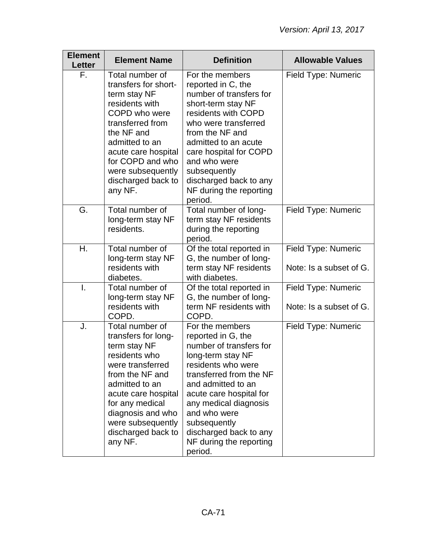| <b>Element</b><br><b>Letter</b> | <b>Element Name</b>                                                                                                                                                                                                                                   | <b>Definition</b>                                                                                                                                                                                                                                                                                                | <b>Allowable Values</b>                        |
|---------------------------------|-------------------------------------------------------------------------------------------------------------------------------------------------------------------------------------------------------------------------------------------------------|------------------------------------------------------------------------------------------------------------------------------------------------------------------------------------------------------------------------------------------------------------------------------------------------------------------|------------------------------------------------|
| F.                              | Total number of<br>transfers for short-<br>term stay NF<br>residents with<br>COPD who were<br>transferred from<br>the NF and<br>admitted to an<br>acute care hospital<br>for COPD and who<br>were subsequently<br>discharged back to<br>any NF.       | For the members<br>reported in C, the<br>number of transfers for<br>short-term stay NF<br>residents with COPD<br>who were transferred<br>from the NF and<br>admitted to an acute<br>care hospital for COPD<br>and who were<br>subsequently<br>discharged back to any<br>NF during the reporting<br>period.       | Field Type: Numeric                            |
| G.                              | Total number of<br>long-term stay NF<br>residents.                                                                                                                                                                                                    | Total number of long-<br>term stay NF residents<br>during the reporting<br>period.                                                                                                                                                                                                                               | Field Type: Numeric                            |
| Η.                              | Total number of<br>long-term stay NF<br>residents with<br>diabetes.                                                                                                                                                                                   | Of the total reported in<br>G, the number of long-<br>term stay NF residents<br>with diabetes.                                                                                                                                                                                                                   | Field Type: Numeric<br>Note: Is a subset of G. |
| I.                              | Total number of<br>long-term stay NF<br>residents with<br>COPD.                                                                                                                                                                                       | Of the total reported in<br>G, the number of long-<br>term NF residents with<br>COPD.                                                                                                                                                                                                                            | Field Type: Numeric<br>Note: Is a subset of G. |
| J.                              | Total number of<br>transfers for long-<br>term stay NF<br>residents who<br>were transferred<br>from the NF and<br>admitted to an<br>acute care hospital<br>for any medical<br>diagnosis and who<br>were subsequently<br>discharged back to<br>any NF. | For the members<br>reported in G, the<br>number of transfers for<br>long-term stay NF<br>residents who were<br>transferred from the NF<br>and admitted to an<br>acute care hospital for<br>any medical diagnosis<br>and who were<br>subsequently<br>discharged back to any<br>NF during the reporting<br>period. | Field Type: Numeric                            |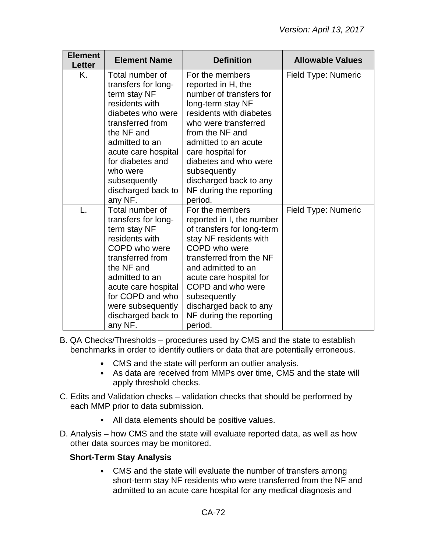| <b>Element</b><br>Letter | <b>Element Name</b>                                                                                                                                                                                                                                       | <b>Definition</b>                                                                                                                                                                                                                                                                                                 | <b>Allowable Values</b> |
|--------------------------|-----------------------------------------------------------------------------------------------------------------------------------------------------------------------------------------------------------------------------------------------------------|-------------------------------------------------------------------------------------------------------------------------------------------------------------------------------------------------------------------------------------------------------------------------------------------------------------------|-------------------------|
| Κ.                       | Total number of<br>transfers for long-<br>term stay NF<br>residents with<br>diabetes who were<br>transferred from<br>the NF and<br>admitted to an<br>acute care hospital<br>for diabetes and<br>who were<br>subsequently<br>discharged back to<br>any NF. | For the members<br>reported in H, the<br>number of transfers for<br>long-term stay NF<br>residents with diabetes<br>who were transferred<br>from the NF and<br>admitted to an acute<br>care hospital for<br>diabetes and who were<br>subsequently<br>discharged back to any<br>NF during the reporting<br>period. | Field Type: Numeric     |
| L.                       | Total number of<br>transfers for long-<br>term stay NF<br>residents with<br>COPD who were<br>transferred from<br>the NF and<br>admitted to an<br>acute care hospital<br>for COPD and who<br>were subsequently<br>discharged back to<br>any NF.            | For the members<br>reported in I, the number<br>of transfers for long-term<br>stay NF residents with<br>COPD who were<br>transferred from the NF<br>and admitted to an<br>acute care hospital for<br>COPD and who were<br>subsequently<br>discharged back to any<br>NF during the reporting<br>period.            | Field Type: Numeric     |

B. QA Checks/Thresholds – procedures used by CMS and the state to establish benchmarks in order to identify outliers or data that are potentially erroneous.

- CMS and the state will perform an outlier analysis.
- As data are received from MMPs over time, CMS and the state will apply threshold checks.
- C. Edits and Validation checks validation checks that should be performed by each MMP prior to data submission.
	- All data elements should be positive values.
- D. Analysis how CMS and the state will evaluate reported data, as well as how other data sources may be monitored.

## **Short-Term Stay Analysis**

CMS and the state will evaluate the number of transfers among short-term stay NF residents who were transferred from the NF and admitted to an acute care hospital for any medical diagnosis and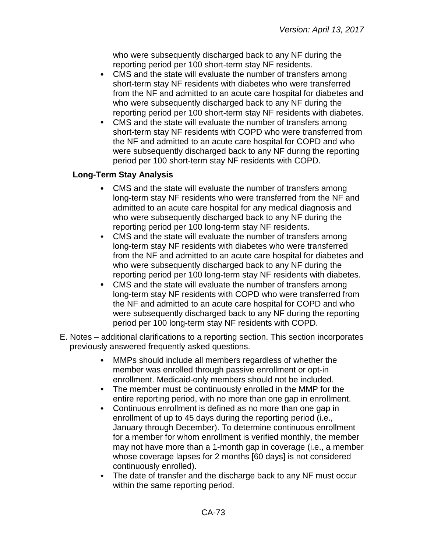who were subsequently discharged back to any NF during the reporting period per 100 short-term stay NF residents.

- CMS and the state will evaluate the number of transfers among short-term stay NF residents with diabetes who were transferred from the NF and admitted to an acute care hospital for diabetes and who were subsequently discharged back to any NF during the reporting period per 100 short-term stay NF residents with diabetes.
- $\bullet$ CMS and the state will evaluate the number of transfers among short-term stay NF residents with COPD who were transferred from the NF and admitted to an acute care hospital for COPD and who were subsequently discharged back to any NF during the reporting period per 100 short-term stay NF residents with COPD.

## **Long-Term Stay Analysis**

- CMS and the state will evaluate the number of transfers among  $\bullet$ long-term stay NF residents who were transferred from the NF and admitted to an acute care hospital for any medical diagnosis and who were subsequently discharged back to any NF during the reporting period per 100 long-term stay NF residents.
- $\bullet$ CMS and the state will evaluate the number of transfers among long-term stay NF residents with diabetes who were transferred from the NF and admitted to an acute care hospital for diabetes and who were subsequently discharged back to any NF during the reporting period per 100 long-term stay NF residents with diabetes.
- $\bullet$ CMS and the state will evaluate the number of transfers among long-term stay NF residents with COPD who were transferred from the NF and admitted to an acute care hospital for COPD and who were subsequently discharged back to any NF during the reporting period per 100 long-term stay NF residents with COPD.
- E. Notes additional clarifications to a reporting section. This section incorporates previously answered frequently asked questions.
	- MMPs should include all members regardless of whether the member was enrolled through passive enrollment or opt-in enrollment. Medicaid-only members should not be included.
	- The member must be continuously enrolled in the MMP for the entire reporting period, with no more than one gap in enrollment.
	- $\bullet$ Continuous enrollment is defined as no more than one gap in enrollment of up to 45 days during the reporting period (i.e., January through December). To determine continuous enrollment for a member for whom enrollment is verified monthly, the member may not have more than a 1-month gap in coverage (i.e., a member whose coverage lapses for 2 months [60 days] is not considered continuously enrolled).
	- The date of transfer and the discharge back to any NF must occur within the same reporting period.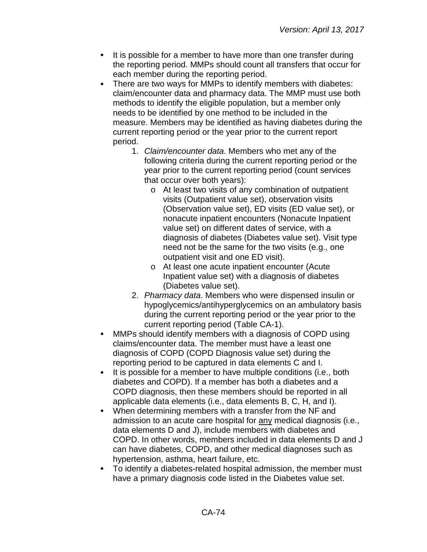- $\bullet$ It is possible for a member to have more than one transfer during the reporting period. MMPs should count all transfers that occur for each member during the reporting period.
- There are two ways for MMPs to identify members with diabetes:  $\bullet$ claim/encounter data and pharmacy data. The MMP must use both methods to identify the eligible population, but a member only needs to be identified by one method to be included in the measure. Members may be identified as having diabetes during the current reporting period or the year prior to the current report period.
	- 1. *Claim/encounter data*. Members who met any of the following criteria during the current reporting period or the year prior to the current reporting period (count services that occur over both years):
		- o At least two visits of any combination of outpatient visits (Outpatient value set), observation visits (Observation value set), ED visits (ED value set), or nonacute inpatient encounters (Nonacute Inpatient value set) on different dates of service, with a diagnosis of diabetes (Diabetes value set). Visit type need not be the same for the two visits (e.g., one outpatient visit and one ED visit).
		- o At least one acute inpatient encounter (Acute Inpatient value set) with a diagnosis of diabetes (Diabetes value set).
	- 2. *Pharmacy data*. Members who were dispensed insulin or hypoglycemics/antihyperglycemics on an ambulatory basis during the current reporting period or the year prior to the current reporting period (Table CA-1).
- MMPs should identify members with a diagnosis of COPD using claims/encounter data. The member must have a least one diagnosis of COPD (COPD Diagnosis value set) during the reporting period to be captured in data elements C and I.
- It is possible for a member to have multiple conditions (i.e., both  $\bullet$ diabetes and COPD). If a member has both a diabetes and a COPD diagnosis, then these members should be reported in all applicable data elements (i.e., data elements B, C, H, and I).
- When determining members with a transfer from the NF and admission to an acute care hospital for any medical diagnosis (i.e., data elements D and J), include members with diabetes and COPD. In other words, members included in data elements D and J can have diabetes, COPD, and other medical diagnoses such as hypertension, asthma, heart failure, etc.
- To identify a diabetes-related hospital admission, the member must have a primary diagnosis code listed in the Diabetes value set.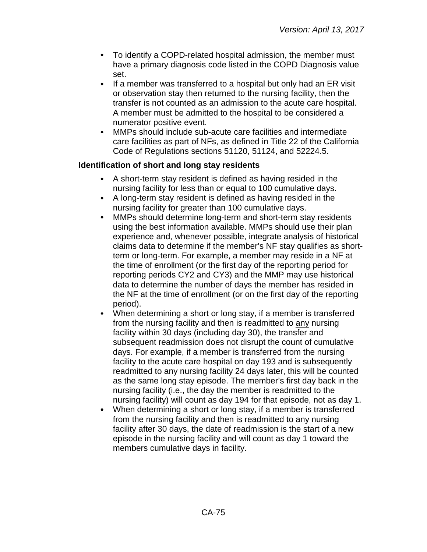- To identify a COPD-related hospital admission, the member must have a primary diagnosis code listed in the COPD Diagnosis value set.
- $\bullet$ If a member was transferred to a hospital but only had an ER visit or observation stay then returned to the nursing facility, then the transfer is not counted as an admission to the acute care hospital. A member must be admitted to the hospital to be considered a numerator positive event.
- MMPs should include sub-acute care facilities and intermediate care facilities as part of NFs, as defined in Title 22 of the California Code of Regulations sections 51120, 51124, and 52224.5.

## **Identification of short and long stay residents**

- A short-term stay resident is defined as having resided in the nursing facility for less than or equal to 100 cumulative days.
- A long-term stay resident is defined as having resided in the nursing facility for greater than 100 cumulative days.
- $\bullet$ MMPs should determine long-term and short-term stay residents using the best information available. MMPs should use their plan experience and, whenever possible, integrate analysis of historical claims data to determine if the member's NF stay qualifies as shortterm or long-term. For example, a member may reside in a NF at the time of enrollment (or the first day of the reporting period for reporting periods CY2 and CY3) and the MMP may use historical data to determine the number of days the member has resided in the NF at the time of enrollment (or on the first day of the reporting period).
- When determining a short or long stay, if a member is transferred  $\bullet$ from the nursing facility and then is readmitted to any nursing facility within 30 days (including day 30), the transfer and subsequent readmission does not disrupt the count of cumulative days. For example, if a member is transferred from the nursing facility to the acute care hospital on day 193 and is subsequently readmitted to any nursing facility 24 days later, this will be counted as the same long stay episode. The member's first day back in the nursing facility (i.e., the day the member is readmitted to the nursing facility) will count as day 194 for that episode, not as day 1.
- $\bullet$ When determining a short or long stay, if a member is transferred from the nursing facility and then is readmitted to any nursing facility after 30 days, the date of readmission is the start of a new episode in the nursing facility and will count as day 1 toward the members cumulative days in facility.